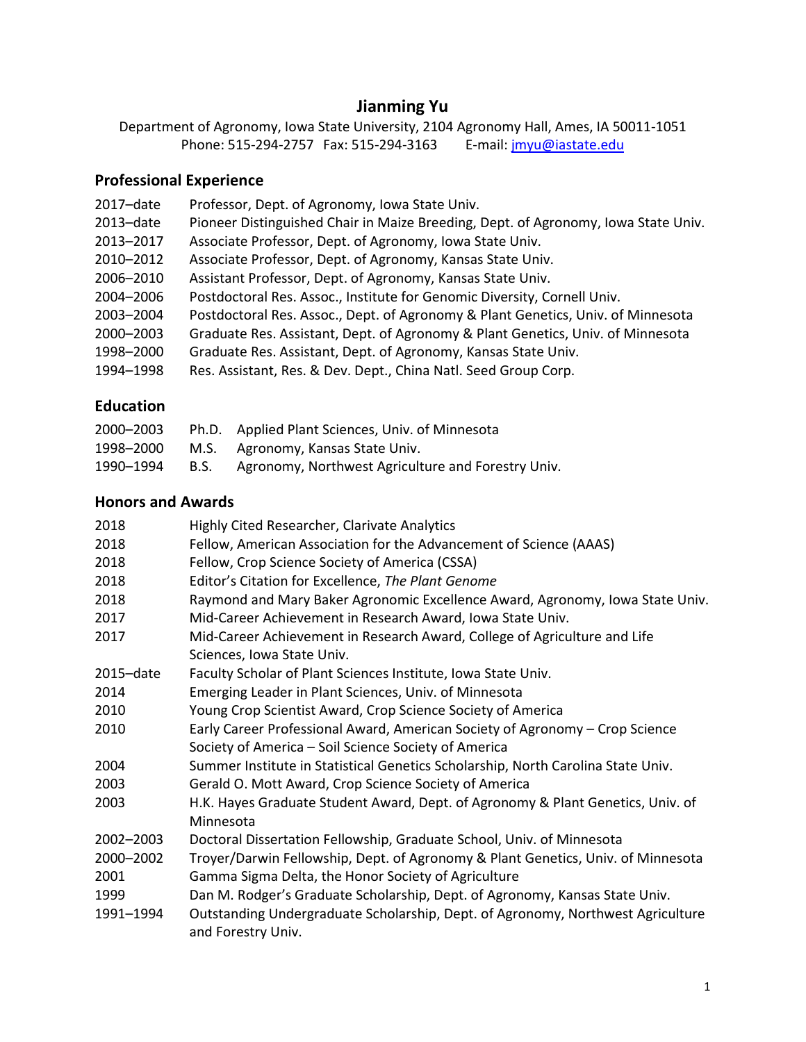# **Jianming Yu**

Department of Agronomy, Iowa State University, 2104 Agronomy Hall, Ames, IA 50011-1051 Phone: 515-294-2757 Fax: 515-294-3163 E-mail: [jmyu@iastate.edu](mailto:jmyu@iastate.edu)

# **Professional Experience**

| 2017-date    | Professor, Dept. of Agronomy, Iowa State Univ.                                     |
|--------------|------------------------------------------------------------------------------------|
| $2013$ -date | Pioneer Distinguished Chair in Maize Breeding, Dept. of Agronomy, Iowa State Univ. |
| 2013-2017    | Associate Professor, Dept. of Agronomy, Iowa State Univ.                           |
| 2010-2012    | Associate Professor, Dept. of Agronomy, Kansas State Univ.                         |
| 2006-2010    | Assistant Professor, Dept. of Agronomy, Kansas State Univ.                         |
| 2004-2006    | Postdoctoral Res. Assoc., Institute for Genomic Diversity, Cornell Univ.           |
| 2003-2004    | Postdoctoral Res. Assoc., Dept. of Agronomy & Plant Genetics, Univ. of Minnesota   |
| 2000-2003    | Graduate Res. Assistant, Dept. of Agronomy & Plant Genetics, Univ. of Minnesota    |
| 1998-2000    | Graduate Res. Assistant, Dept. of Agronomy, Kansas State Univ.                     |
| 1994-1998    | Res. Assistant, Res. & Dev. Dept., China Natl. Seed Group Corp.                    |
|              |                                                                                    |

#### **Education**

| 2000-2003 |             | Ph.D. Applied Plant Sciences, Univ. of Minnesota   |
|-----------|-------------|----------------------------------------------------|
| 1998–2000 |             | M.S. Agronomy, Kansas State Univ.                  |
| 1990–1994 | <b>B.S.</b> | Agronomy, Northwest Agriculture and Forestry Univ. |

# **Honors and Awards**

| 2018      | Highly Cited Researcher, Clarivate Analytics                                                          |
|-----------|-------------------------------------------------------------------------------------------------------|
| 2018      | Fellow, American Association for the Advancement of Science (AAAS)                                    |
| 2018      | Fellow, Crop Science Society of America (CSSA)                                                        |
| 2018      | Editor's Citation for Excellence, The Plant Genome                                                    |
| 2018      | Raymond and Mary Baker Agronomic Excellence Award, Agronomy, Iowa State Univ.                         |
| 2017      | Mid-Career Achievement in Research Award, Iowa State Univ.                                            |
| 2017      | Mid-Career Achievement in Research Award, College of Agriculture and Life                             |
|           | Sciences, Iowa State Univ.                                                                            |
| 2015-date | Faculty Scholar of Plant Sciences Institute, Iowa State Univ.                                         |
| 2014      | Emerging Leader in Plant Sciences, Univ. of Minnesota                                                 |
| 2010      | Young Crop Scientist Award, Crop Science Society of America                                           |
| 2010      | Early Career Professional Award, American Society of Agronomy – Crop Science                          |
|           | Society of America - Soil Science Society of America                                                  |
| 2004      | Summer Institute in Statistical Genetics Scholarship, North Carolina State Univ.                      |
| 2003      | Gerald O. Mott Award, Crop Science Society of America                                                 |
| 2003      | H.K. Hayes Graduate Student Award, Dept. of Agronomy & Plant Genetics, Univ. of                       |
|           | Minnesota                                                                                             |
| 2002-2003 | Doctoral Dissertation Fellowship, Graduate School, Univ. of Minnesota                                 |
| 2000-2002 | Troyer/Darwin Fellowship, Dept. of Agronomy & Plant Genetics, Univ. of Minnesota                      |
| 2001      | Gamma Sigma Delta, the Honor Society of Agriculture                                                   |
| 1999      | Dan M. Rodger's Graduate Scholarship, Dept. of Agronomy, Kansas State Univ.                           |
| 1991-1994 | Outstanding Undergraduate Scholarship, Dept. of Agronomy, Northwest Agriculture<br>and Forestry Univ. |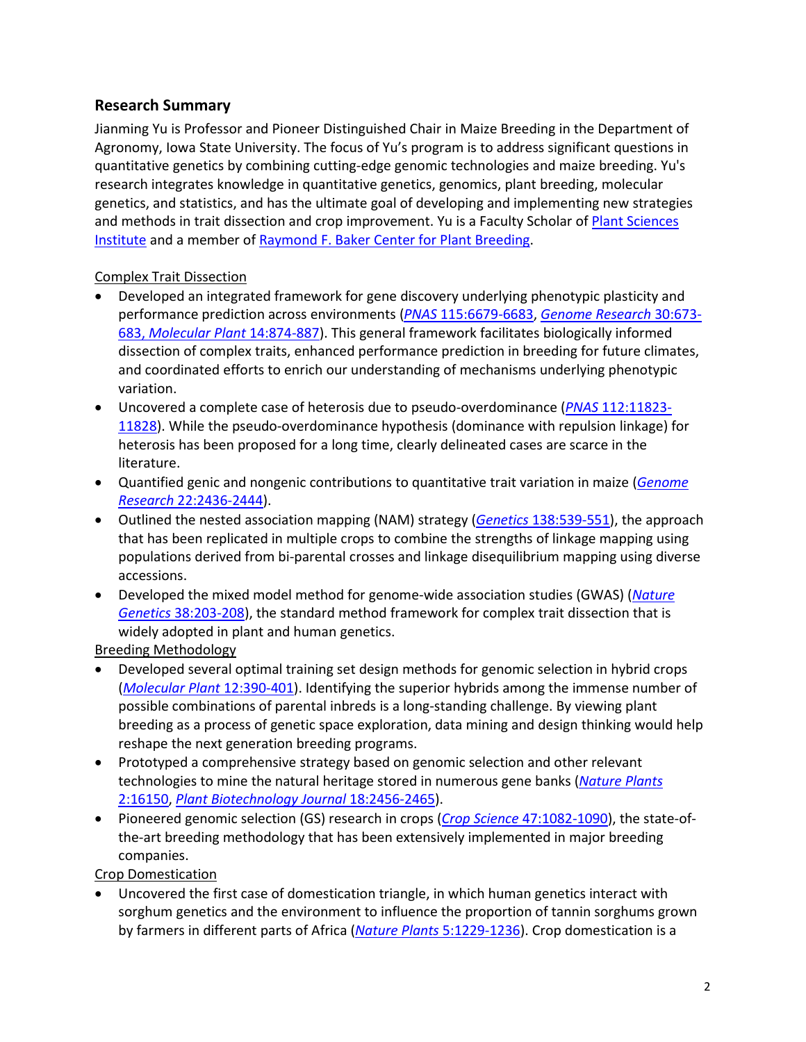#### **Research Summary**

Jianming Yu is Professor and Pioneer Distinguished Chair in Maize Breeding in the Department of Agronomy, Iowa State University. The focus of Yu's program is to address significant questions in quantitative genetics by combining cutting-edge genomic technologies and maize breeding. Yu's research integrates knowledge in quantitative genetics, genomics, plant breeding, molecular genetics, and statistics, and has the ultimate goal of developing and implementing new strategies and methods in trait dissection and crop improvement. Yu is a Faculty Scholar o[f Plant Sciences](https://plantsciences.iastate.edu/)  [Institute](https://plantsciences.iastate.edu/) and a member of [Raymond F. Baker Center for Plant Breeding.](https://www.plantbreeding.iastate.edu/)

#### Complex Trait Dissection

- Developed an integrated framework for gene discovery underlying phenotypic plasticity and performance prediction across environments (*PNAS* [115:6679-6683,](https://doi.org/10.1073/pnas.1718326115) *Genome [Research](https://doi.org/10.1101/gr.255703.119)* 30:673- 683, *[Molecular Plant](https://doi.org/10.1016/j.molp.2021.03.010)* 14:874-887). This general framework facilitates biologically informed dissection of complex traits, enhanced performance prediction in breeding for future climates, and coordinated efforts to enrich our understanding of mechanisms underlying phenotypic variation.
- Uncovered a complete case of heterosis due to pseudo-overdominance (*PNAS* [112:11823-](http://www.pnas.org/content/112/38/11823.abstract) [11828\)](http://www.pnas.org/content/112/38/11823.abstract). While the pseudo-overdominance hypothesis (dominance with repulsion linkage) for heterosis has been proposed for a long time, clearly delineated cases are scarce in the literature.
- Quantified genic and nongenic contributions to quantitative trait variation in maize (*[Genome](http://genome.cshlp.org/content/22/12/2436)  Research* [22:2436-2444\)](http://genome.cshlp.org/content/22/12/2436).
- Outlined the nested association mapping (NAM) strategy (*Genetics* [138:539-551\)](http://www.genetics.org/cgi/content/abstract/178/1/539), the approach that has been replicated in multiple crops to combine the strengths of linkage mapping using populations derived from bi-parental crosses and linkage disequilibrium mapping using diverse accessions.
- Developed the mixed model method for genome-wide association studies (GWAS) (*[Nature](http://www.nature.com/ng/journal/v38/n2/abs/ng1702.html)  Genetics* [38:203-208\)](http://www.nature.com/ng/journal/v38/n2/abs/ng1702.html), the standard method framework for complex trait dissection that is widely adopted in plant and human genetics.

Breeding Methodology

- Developed several optimal training set design methods for genomic selection in hybrid crops (*[Molecular Plant](https://doi.org/10.1016/j.molp.2018.12.022)* 12:390-401). Identifying the superior hybrids among the immense number of possible combinations of parental inbreds is a long-standing challenge. By viewing plant breeding as a process of genetic space exploration, data mining and design thinking would help reshape the next generation breeding programs.
- Prototyped a comprehensive strategy based on genomic selection and other relevant technologies to mine the natural heritage stored in numerous gene banks (*[Nature Plants](http://www.nature.com/articles/nplants2016150)* [2:16150,](http://www.nature.com/articles/nplants2016150) *[Plant Biotechnology Journal](https://doi.org/10.1111/pbi.13420)* 18:2456-2465).
- Pioneered genomic selection (GS) research in crops (*Crop Science* [47:1082-1090\)](https://www.crops.org/publications/cs/abstracts/47/3/1082), the state-ofthe-art breeding methodology that has been extensively implemented in major breeding companies.

Crop Domestication

• Uncovered the first case of domestication triangle, in which human genetics interact with sorghum genetics and the environment to influence the proportion of tannin sorghums grown by farmers in different parts of Africa (*[Nature Plants](https://doi.org/10.1038/s41477-019-0563-0)* 5:1229-1236). Crop domestication is a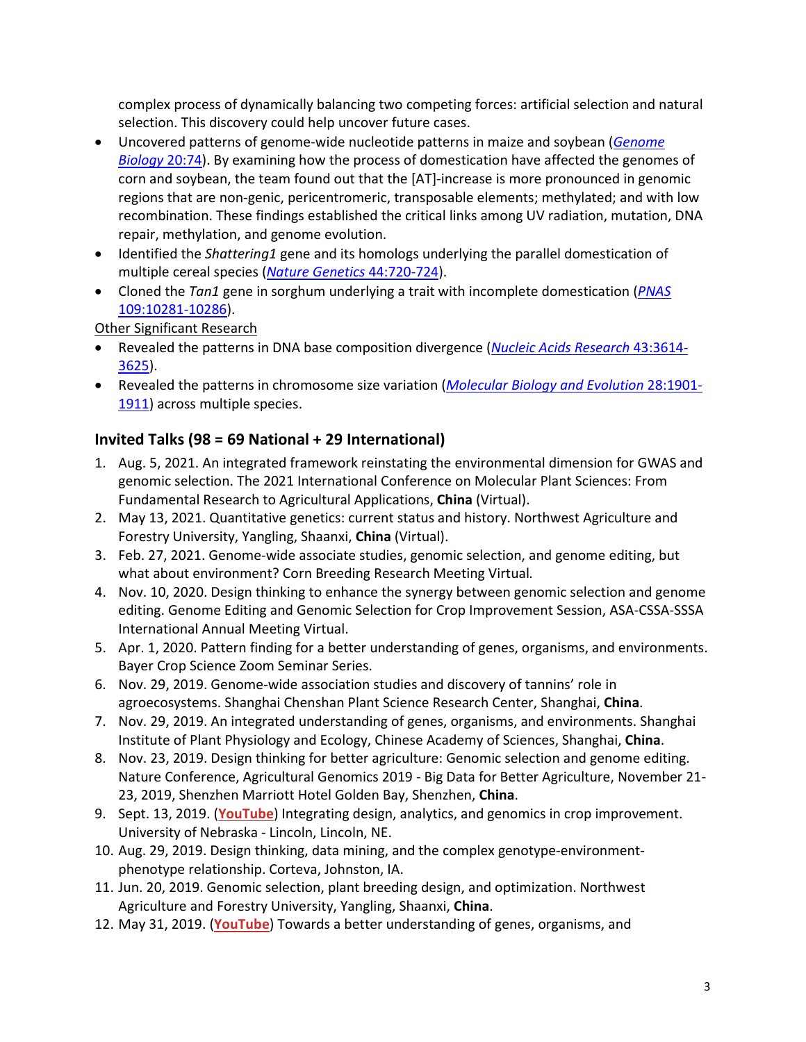complex process of dynamically balancing two competing forces: artificial selection and natural selection. This discovery could help uncover future cases.

- Uncovered patterns of genome-wide nucleotide patterns in maize and soybean (*[Genome](https://doi.org/10.1186/s13059-019-1683-6)  [Biology](https://doi.org/10.1186/s13059-019-1683-6)* 20:74). By examining how the process of domestication have affected the genomes of corn and soybean, the team found out that the [AT]-increase is more pronounced in genomic regions that are non-genic, pericentromeric, transposable elements; methylated; and with low recombination. These findings established the critical links among UV radiation, mutation, DNA repair, methylation, and genome evolution.
- Identified the *Shattering1* gene and its homologs underlying the parallel domestication of multiple cereal species (*[Nature Genetics](http://www.nature.com/ng/journal/v44/n6/abs/ng.2281.html)* 44:720-724).
- Cloned the *Tan1* gene in sorghum underlying a trait with incomplete domestication (*[PNAS](http://www.pnas.org/content/109/26/10281.abstract)* [109:10281-10286\)](http://www.pnas.org/content/109/26/10281.abstract).

Other Significant Research

- Revealed the patterns in DNA base composition divergence (*[Nucleic Acids Research](http://nar.oxfordjournals.org/content/43/7/3614)* 43:3614- [3625\)](http://nar.oxfordjournals.org/content/43/7/3614).
- Revealed the patterns in chromosome size variation (*[Molecular Biology and Evolution](http://mbe.oxfordjournals.org/content/28/6/1901.abstract)* 28:1901- [1911\)](http://mbe.oxfordjournals.org/content/28/6/1901.abstract) across multiple species.

# **Invited Talks (98 = 69 National + 29 International)**

- 1. Aug. 5, 2021. An integrated framework reinstating the environmental dimension for GWAS and genomic selection. The 2021 International Conference on Molecular Plant Sciences: From Fundamental Research to Agricultural Applications, **China** (Virtual).
- 2. May 13, 2021. Quantitative genetics: current status and history. Northwest Agriculture and Forestry University, Yangling, Shaanxi, **China** (Virtual).
- 3. Feb. 27, 2021. Genome-wide associate studies, genomic selection, and genome editing, but what about environment? Corn Breeding Research Meeting Virtual*.*
- 4. Nov. 10, 2020. Design thinking to enhance the synergy between genomic selection and genome editing. Genome Editing and Genomic Selection for Crop Improvement Session, ASA-CSSA-SSSA International Annual Meeting Virtual.
- 5. Apr. 1, 2020. Pattern finding for a better understanding of genes, organisms, and environments. Bayer Crop Science Zoom Seminar Series.
- 6. Nov. 29, 2019. Genome-wide association studies and discovery of tannins' role in agroecosystems. Shanghai Chenshan Plant Science Research Center, Shanghai, **China**.
- 7. Nov. 29, 2019. An integrated understanding of genes, organisms, and environments. Shanghai Institute of Plant Physiology and Ecology, Chinese Academy of Sciences, Shanghai, **China**.
- 8. Nov. 23, 2019. Design thinking for better agriculture: Genomic selection and genome editing. Nature Conference, Agricultural Genomics 2019 - Big Data for Better Agriculture, November 21- 23, 2019, Shenzhen Marriott Hotel Golden Bay, Shenzhen, **China**.
- 9. Sept. 13, 2019. (**[YouTube](https://www.youtube.com/watch?v=HKY7J9ph9eA&feature=youtu.be)**) Integrating design, analytics, and genomics in crop improvement. University of Nebraska - Lincoln, Lincoln, NE.
- 10. Aug. 29, 2019. Design thinking, data mining, and the complex genotype-environmentphenotype relationship. Corteva, Johnston, IA.
- 11. Jun. 20, 2019. Genomic selection, plant breeding design, and optimization. Northwest Agriculture and Forestry University, Yangling, Shaanxi, **China**.
- 12. May 31, 2019. (**[YouTube](https://www.youtube.com/watch?v=A15sCBm2Jz8)**) Towards a better understanding of genes, organisms, and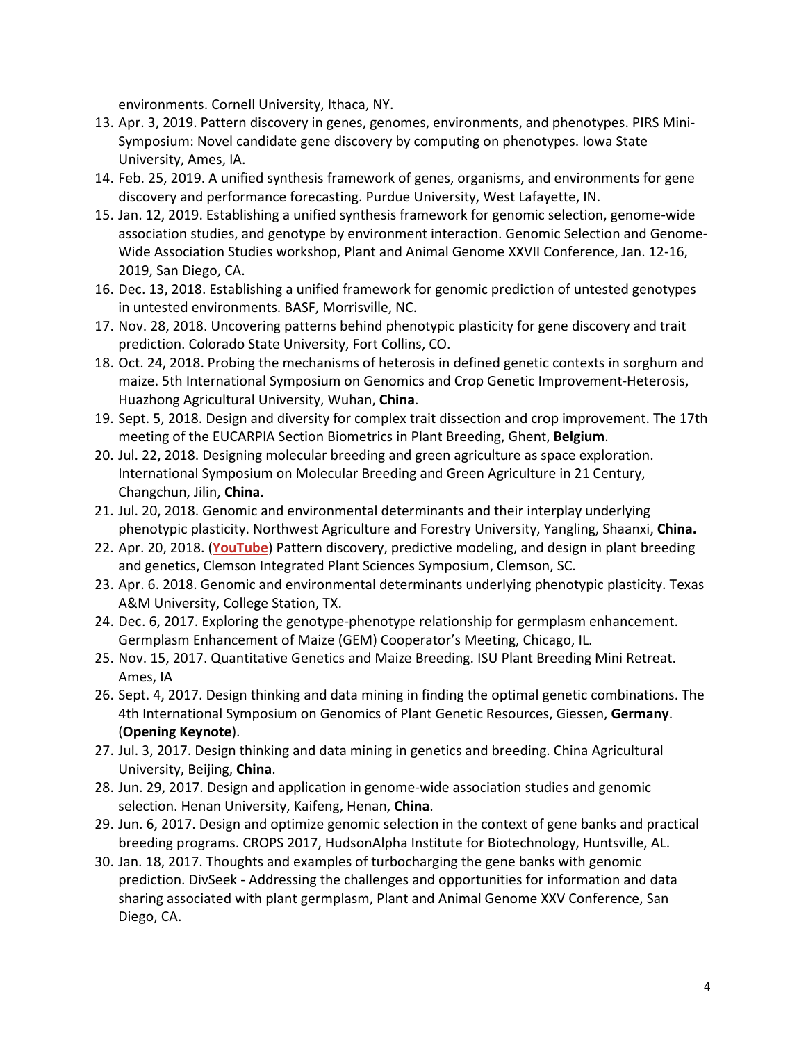environments. Cornell University, Ithaca, NY.

- 13. Apr. 3, 2019. Pattern discovery in genes, genomes, environments, and phenotypes. PIRS Mini-Symposium: Novel candidate gene discovery by computing on phenotypes. Iowa State University, Ames, IA.
- 14. Feb. 25, 2019. A unified synthesis framework of genes, organisms, and environments for gene discovery and performance forecasting. Purdue University, West Lafayette, IN.
- 15. Jan. 12, 2019. Establishing a unified synthesis framework for genomic selection, genome-wide association studies, and genotype by environment interaction. Genomic Selection and Genome-Wide Association Studies workshop, Plant and Animal Genome XXVII Conference, Jan. 12-16, 2019, San Diego, CA.
- 16. Dec. 13, 2018. Establishing a unified framework for genomic prediction of untested genotypes in untested environments. BASF, Morrisville, NC.
- 17. Nov. 28, 2018. Uncovering patterns behind phenotypic plasticity for gene discovery and trait prediction. Colorado State University, Fort Collins, CO.
- 18. Oct. 24, 2018. Probing the mechanisms of heterosis in defined genetic contexts in sorghum and maize. 5th International Symposium on Genomics and Crop Genetic Improvement-Heterosis, Huazhong Agricultural University, Wuhan, **China**.
- 19. Sept. 5, 2018. Design and diversity for complex trait dissection and crop improvement. The 17th meeting of the EUCARPIA Section Biometrics in Plant Breeding, Ghent, **Belgium**.
- 20. Jul. 22, 2018. Designing molecular breeding and green agriculture as space exploration. International Symposium on Molecular Breeding and Green Agriculture in 21 Century, Changchun, Jilin, **China.**
- 21. Jul. 20, 2018. Genomic and environmental determinants and their interplay underlying phenotypic plasticity. Northwest Agriculture and Forestry University, Yangling, Shaanxi, **China.**
- 22. Apr. 20, 2018. (**[YouTube](https://www.youtube.com/watch?v=gTzmPKeMscg)**) Pattern discovery, predictive modeling, and design in plant breeding and genetics, Clemson Integrated Plant Sciences Symposium, Clemson, SC.
- 23. Apr. 6. 2018. Genomic and environmental determinants underlying phenotypic plasticity. Texas A&M University, College Station, TX.
- 24. Dec. 6, 2017. Exploring the genotype-phenotype relationship for germplasm enhancement. Germplasm Enhancement of Maize (GEM) Cooperator's Meeting, Chicago, IL.
- 25. Nov. 15, 2017. Quantitative Genetics and Maize Breeding. ISU Plant Breeding Mini Retreat. Ames, IA
- 26. Sept. 4, 2017. Design thinking and data mining in finding the optimal genetic combinations. The 4th International Symposium on Genomics of Plant Genetic Resources, Giessen, **Germany**. (**Opening Keynote**).
- 27. Jul. 3, 2017. Design thinking and data mining in genetics and breeding. China Agricultural University, Beijing, **China**.
- 28. Jun. 29, 2017. Design and application in genome-wide association studies and genomic selection. Henan University, Kaifeng, Henan, **China**.
- 29. Jun. 6, 2017. Design and optimize genomic selection in the context of gene banks and practical breeding programs. CROPS 2017, HudsonAlpha Institute for Biotechnology, Huntsville, AL.
- 30. Jan. 18, 2017. Thoughts and examples of turbocharging the gene banks with genomic prediction. DivSeek - Addressing the challenges and opportunities for information and data sharing associated with plant germplasm, Plant and Animal Genome XXV Conference, San Diego, CA.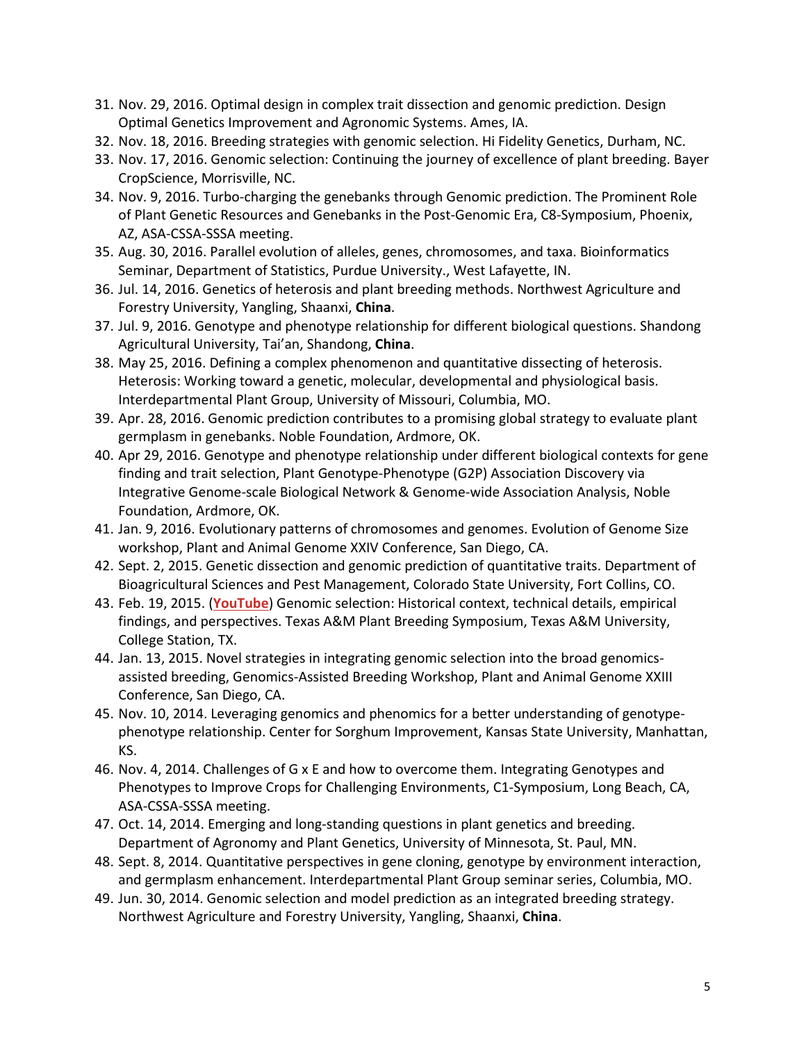- 31. Nov. 29, 2016. Optimal design in complex trait dissection and genomic prediction. Design Optimal Genetics Improvement and Agronomic Systems. Ames, IA.
- 32. Nov. 18, 2016. Breeding strategies with genomic selection. Hi Fidelity Genetics, Durham, NC.
- 33. Nov. 17, 2016. Genomic selection: Continuing the journey of excellence of plant breeding. Bayer CropScience, Morrisville, NC.
- 34. Nov. 9, 2016. Turbo-charging the genebanks through Genomic prediction. The Prominent Role of Plant Genetic Resources and Genebanks in the Post-Genomic Era, C8-Symposium, Phoenix, AZ, ASA-CSSA-SSSA meeting.
- 35. Aug. 30, 2016. Parallel evolution of alleles, genes, chromosomes, and taxa. Bioinformatics Seminar, Department of Statistics, Purdue University., West Lafayette, IN.
- 36. Jul. 14, 2016. Genetics of heterosis and plant breeding methods. Northwest Agriculture and Forestry University, Yangling, Shaanxi, **China**.
- 37. Jul. 9, 2016. Genotype and phenotype relationship for different biological questions. Shandong Agricultural University, Tai'an, Shandong, **China**.
- 38. May 25, 2016. Defining a complex phenomenon and quantitative dissecting of heterosis. Heterosis: Working toward a genetic, molecular, developmental and physiological basis. Interdepartmental Plant Group, University of Missouri, Columbia, MO.
- 39. Apr. 28, 2016. Genomic prediction contributes to a promising global strategy to evaluate plant germplasm in genebanks. Noble Foundation, Ardmore, OK.
- 40. Apr 29, 2016. Genotype and phenotype relationship under different biological contexts for gene finding and trait selection, Plant Genotype-Phenotype (G2P) Association Discovery via Integrative Genome-scale Biological Network & Genome-wide Association Analysis, Noble Foundation, Ardmore, OK.
- 41. Jan. 9, 2016. Evolutionary patterns of chromosomes and genomes. Evolution of Genome Size workshop, Plant and Animal Genome XXIV Conference, San Diego, CA.
- 42. Sept. 2, 2015. Genetic dissection and genomic prediction of quantitative traits. Department of Bioagricultural Sciences and Pest Management, Colorado State University, Fort Collins, CO.
- 43. Feb. 19, 2015. (**[YouTube](https://www.youtube.com/watch?v=1HUim3EDVuM)**) Genomic selection: Historical context, technical details, empirical findings, and perspectives. Texas A&M Plant Breeding Symposium, Texas A&M University, College Station, TX.
- 44. Jan. 13, 2015. Novel strategies in integrating genomic selection into the broad genomicsassisted breeding, Genomics-Assisted Breeding Workshop, Plant and Animal Genome XXIII Conference, San Diego, CA.
- 45. Nov. 10, 2014. Leveraging genomics and phenomics for a better understanding of genotypephenotype relationship. Center for Sorghum Improvement, Kansas State University, Manhattan, KS.
- 46. Nov. 4, 2014. Challenges of G x E and how to overcome them. Integrating Genotypes and Phenotypes to Improve Crops for Challenging Environments, C1-Symposium, Long Beach, CA, ASA-CSSA-SSSA meeting.
- 47. Oct. 14, 2014. Emerging and long-standing questions in plant genetics and breeding. Department of Agronomy and Plant Genetics, University of Minnesota, St. Paul, MN.
- 48. Sept. 8, 2014. Quantitative perspectives in gene cloning, genotype by environment interaction, and germplasm enhancement. Interdepartmental Plant Group seminar series, Columbia, MO.
- 49. Jun. 30, 2014. Genomic selection and model prediction as an integrated breeding strategy. Northwest Agriculture and Forestry University, Yangling, Shaanxi, **China**.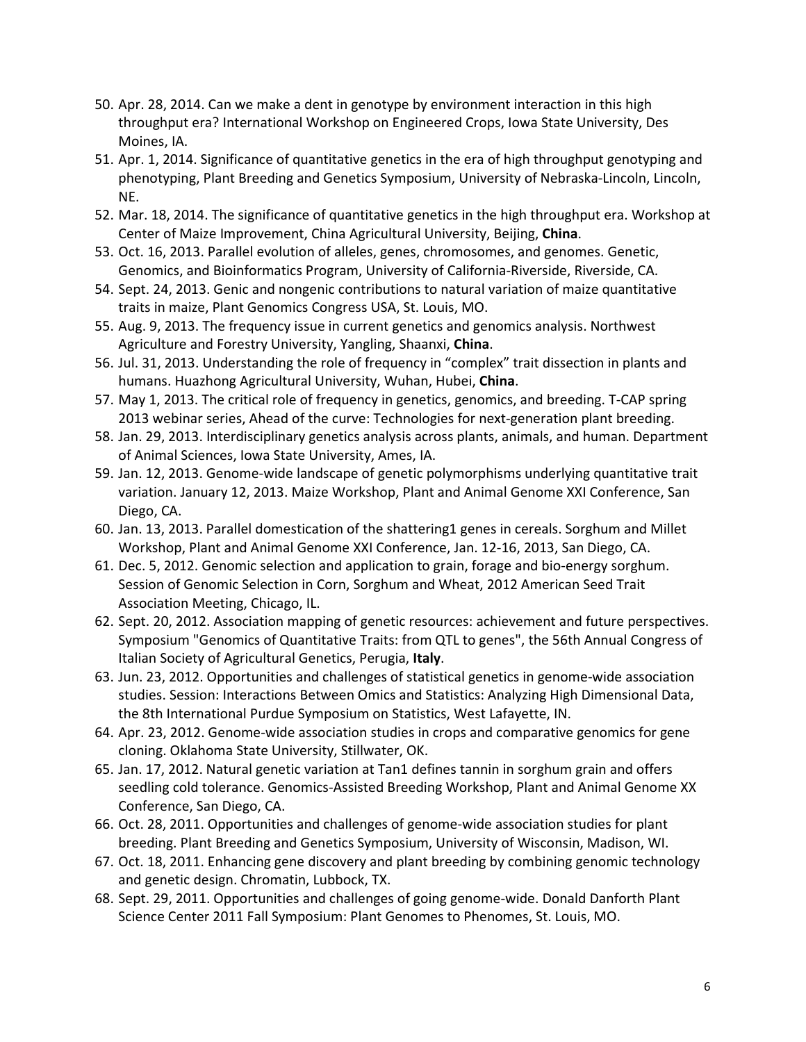- 50. Apr. 28, 2014. Can we make a dent in genotype by environment interaction in this high throughput era? International Workshop on Engineered Crops, Iowa State University, Des Moines, IA.
- 51. Apr. 1, 2014. Significance of quantitative genetics in the era of high throughput genotyping and phenotyping, Plant Breeding and Genetics Symposium, University of Nebraska-Lincoln, Lincoln, NE.
- 52. Mar. 18, 2014. The significance of quantitative genetics in the high throughput era. Workshop at Center of Maize Improvement, China Agricultural University, Beijing, **China**.
- 53. Oct. 16, 2013. Parallel evolution of alleles, genes, chromosomes, and genomes. Genetic, Genomics, and Bioinformatics Program, University of California-Riverside, Riverside, CA.
- 54. Sept. 24, 2013. Genic and nongenic contributions to natural variation of maize quantitative traits in maize, Plant Genomics Congress USA, St. Louis, MO.
- 55. Aug. 9, 2013. The frequency issue in current genetics and genomics analysis. Northwest Agriculture and Forestry University, Yangling, Shaanxi, **China**.
- 56. Jul. 31, 2013. Understanding the role of frequency in "complex" trait dissection in plants and humans. Huazhong Agricultural University, Wuhan, Hubei, **China**.
- 57. May 1, 2013. The critical role of frequency in genetics, genomics, and breeding. T-CAP spring 2013 webinar series, Ahead of the curve: Technologies for next-generation plant breeding.
- 58. Jan. 29, 2013. Interdisciplinary genetics analysis across plants, animals, and human. Department of Animal Sciences, Iowa State University, Ames, IA.
- 59. Jan. 12, 2013. Genome-wide landscape of genetic polymorphisms underlying quantitative trait variation. January 12, 2013. Maize Workshop, Plant and Animal Genome XXI Conference, San Diego, CA.
- 60. Jan. 13, 2013. Parallel domestication of the shattering1 genes in cereals. Sorghum and Millet Workshop, Plant and Animal Genome XXI Conference, Jan. 12-16, 2013, San Diego, CA.
- 61. Dec. 5, 2012. Genomic selection and application to grain, forage and bio-energy sorghum. Session of Genomic Selection in Corn, Sorghum and Wheat, 2012 American Seed Trait Association Meeting, Chicago, IL.
- 62. Sept. 20, 2012. Association mapping of genetic resources: achievement and future perspectives. Symposium "Genomics of Quantitative Traits: from QTL to genes", the 56th Annual Congress of Italian Society of Agricultural Genetics, Perugia, **Italy**.
- 63. Jun. 23, 2012. Opportunities and challenges of statistical genetics in genome-wide association studies. Session: Interactions Between Omics and Statistics: Analyzing High Dimensional Data, the 8th International Purdue Symposium on Statistics, West Lafayette, IN.
- 64. Apr. 23, 2012. Genome-wide association studies in crops and comparative genomics for gene cloning. Oklahoma State University, Stillwater, OK.
- 65. Jan. 17, 2012. Natural genetic variation at Tan1 defines tannin in sorghum grain and offers seedling cold tolerance. Genomics-Assisted Breeding Workshop, Plant and Animal Genome XX Conference, San Diego, CA.
- 66. Oct. 28, 2011. Opportunities and challenges of genome-wide association studies for plant breeding. Plant Breeding and Genetics Symposium, University of Wisconsin, Madison, WI.
- 67. Oct. 18, 2011. Enhancing gene discovery and plant breeding by combining genomic technology and genetic design. Chromatin, Lubbock, TX.
- 68. Sept. 29, 2011. Opportunities and challenges of going genome-wide. Donald Danforth Plant Science Center 2011 Fall Symposium: Plant Genomes to Phenomes, St. Louis, MO.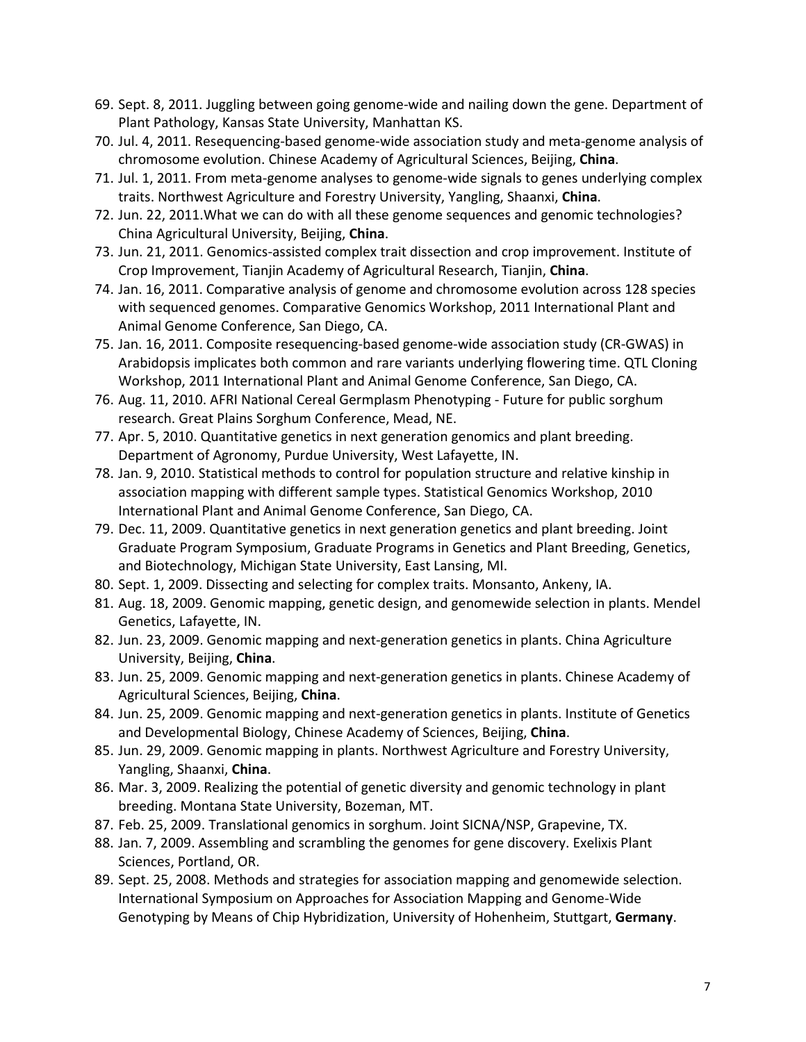- 69. Sept. 8, 2011. Juggling between going genome-wide and nailing down the gene. Department of Plant Pathology, Kansas State University, Manhattan KS.
- 70. Jul. 4, 2011. Resequencing-based genome-wide association study and meta-genome analysis of chromosome evolution. Chinese Academy of Agricultural Sciences, Beijing, **China**.
- 71. Jul. 1, 2011. From meta-genome analyses to genome-wide signals to genes underlying complex traits. Northwest Agriculture and Forestry University, Yangling, Shaanxi, **China**.
- 72. Jun. 22, 2011.What we can do with all these genome sequences and genomic technologies? China Agricultural University, Beijing, **China**.
- 73. Jun. 21, 2011. Genomics-assisted complex trait dissection and crop improvement. Institute of Crop Improvement, Tianjin Academy of Agricultural Research, Tianjin, **China**.
- 74. Jan. 16, 2011. Comparative analysis of genome and chromosome evolution across 128 species with sequenced genomes. Comparative Genomics Workshop, 2011 International Plant and Animal Genome Conference, San Diego, CA.
- 75. Jan. 16, 2011. Composite resequencing-based genome-wide association study (CR-GWAS) in Arabidopsis implicates both common and rare variants underlying flowering time. QTL Cloning Workshop, 2011 International Plant and Animal Genome Conference, San Diego, CA.
- 76. Aug. 11, 2010. AFRI National Cereal Germplasm Phenotyping Future for public sorghum research. Great Plains Sorghum Conference, Mead, NE.
- 77. Apr. 5, 2010. Quantitative genetics in next generation genomics and plant breeding. Department of Agronomy, Purdue University, West Lafayette, IN.
- 78. Jan. 9, 2010. Statistical methods to control for population structure and relative kinship in association mapping with different sample types. Statistical Genomics Workshop, 2010 International Plant and Animal Genome Conference, San Diego, CA.
- 79. Dec. 11, 2009. Quantitative genetics in next generation genetics and plant breeding. Joint Graduate Program Symposium, Graduate Programs in Genetics and Plant Breeding, Genetics, and Biotechnology, Michigan State University, East Lansing, MI.
- 80. Sept. 1, 2009. Dissecting and selecting for complex traits. Monsanto, Ankeny, IA.
- 81. Aug. 18, 2009. Genomic mapping, genetic design, and genomewide selection in plants. Mendel Genetics, Lafayette, IN.
- 82. Jun. 23, 2009. Genomic mapping and next-generation genetics in plants. China Agriculture University, Beijing, **China**.
- 83. Jun. 25, 2009. Genomic mapping and next-generation genetics in plants. Chinese Academy of Agricultural Sciences, Beijing, **China**.
- 84. Jun. 25, 2009. Genomic mapping and next-generation genetics in plants. Institute of Genetics and Developmental Biology, Chinese Academy of Sciences, Beijing, **China**.
- 85. Jun. 29, 2009. Genomic mapping in plants. Northwest Agriculture and Forestry University, Yangling, Shaanxi, **China**.
- 86. Mar. 3, 2009. Realizing the potential of genetic diversity and genomic technology in plant breeding. Montana State University, Bozeman, MT.
- 87. Feb. 25, 2009. Translational genomics in sorghum. Joint SICNA/NSP, Grapevine, TX.
- 88. Jan. 7, 2009. Assembling and scrambling the genomes for gene discovery. Exelixis Plant Sciences, Portland, OR.
- 89. Sept. 25, 2008. Methods and strategies for association mapping and genomewide selection. International Symposium on Approaches for Association Mapping and Genome-Wide Genotyping by Means of Chip Hybridization, University of Hohenheim, Stuttgart, **Germany**.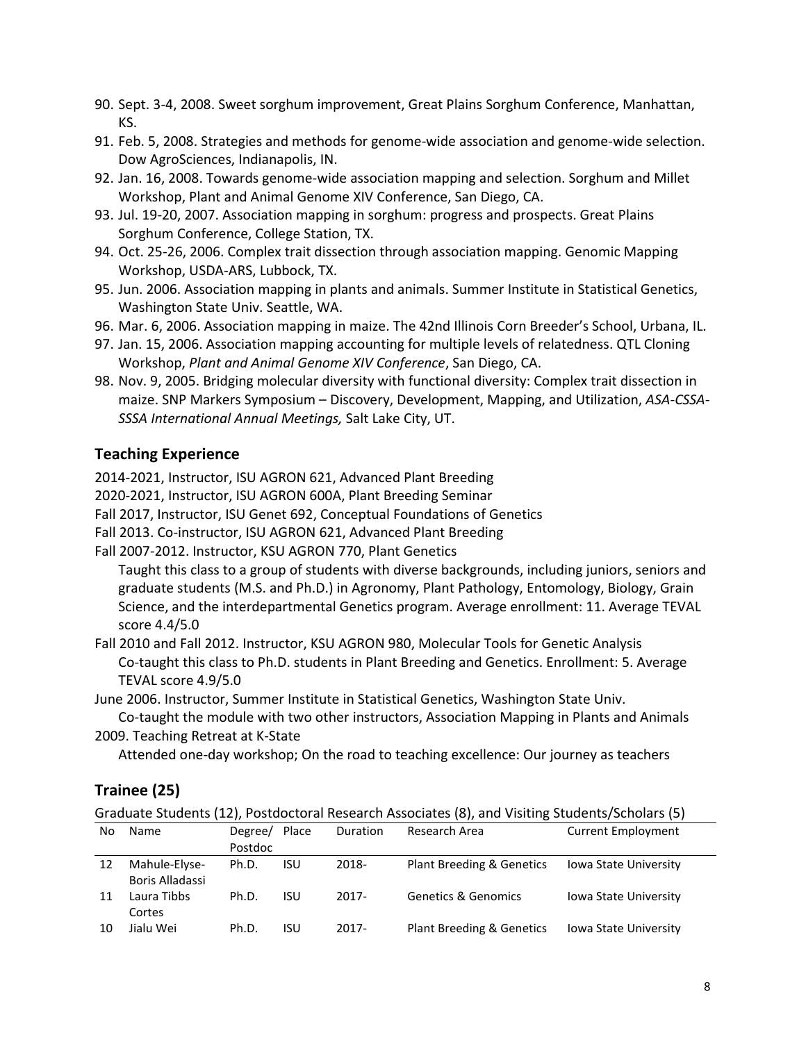- 90. Sept. 3-4, 2008. Sweet sorghum improvement, Great Plains Sorghum Conference, Manhattan, KS.
- 91. Feb. 5, 2008. Strategies and methods for genome-wide association and genome-wide selection. Dow AgroSciences, Indianapolis, IN.
- 92. Jan. 16, 2008. Towards genome-wide association mapping and selection. Sorghum and Millet Workshop, Plant and Animal Genome XIV Conference, San Diego, CA.
- 93. Jul. 19-20, 2007. Association mapping in sorghum: progress and prospects. Great Plains Sorghum Conference, College Station, TX.
- 94. Oct. 25-26, 2006. Complex trait dissection through association mapping. Genomic Mapping Workshop, USDA-ARS, Lubbock, TX.
- 95. Jun. 2006. Association mapping in plants and animals. Summer Institute in Statistical Genetics, Washington State Univ. Seattle, WA.
- 96. Mar. 6, 2006. Association mapping in maize. The 42nd Illinois Corn Breeder's School, Urbana, IL.
- 97. Jan. 15, 2006. Association mapping accounting for multiple levels of relatedness. QTL Cloning Workshop, *Plant and Animal Genome XIV Conference*, San Diego, CA.
- 98. Nov. 9, 2005. Bridging molecular diversity with functional diversity: Complex trait dissection in maize. SNP Markers Symposium – Discovery, Development, Mapping, and Utilization, *ASA-CSSA-SSSA International Annual Meetings,* Salt Lake City, UT.

#### **Teaching Experience**

2014-2021, Instructor, ISU AGRON 621, Advanced Plant Breeding

2020-2021, Instructor, ISU AGRON 600A, Plant Breeding Seminar

Fall 2017, Instructor, ISU Genet 692, Conceptual Foundations of Genetics

Fall 2013. Co-instructor, ISU AGRON 621, Advanced Plant Breeding

Fall 2007-2012. Instructor, KSU AGRON 770, Plant Genetics

Taught this class to a group of students with diverse backgrounds, including juniors, seniors and graduate students (M.S. and Ph.D.) in Agronomy, Plant Pathology, Entomology, Biology, Grain Science, and the interdepartmental Genetics program. Average enrollment: 11. Average TEVAL score 4.4/5.0

Fall 2010 and Fall 2012. Instructor, KSU AGRON 980, Molecular Tools for Genetic Analysis Co-taught this class to Ph.D. students in Plant Breeding and Genetics. Enrollment: 5. Average TEVAL score 4.9/5.0

June 2006. Instructor, Summer Institute in Statistical Genetics, Washington State Univ.

Co-taught the module with two other instructors, Association Mapping in Plants and Animals 2009. Teaching Retreat at K-State

Attended one-day workshop; On the road to teaching excellence: Our journey as teachers

# **Trainee (25)**

Graduate Students (12), Postdoctoral Research Associates (8), and Visiting Students/Scholars (5)

| No | <b>Name</b>     | Degree/ | Place | <b>Duration</b> | Research Area                  | <b>Current Employment</b>    |
|----|-----------------|---------|-------|-----------------|--------------------------------|------------------------------|
|    |                 | Postdoc |       |                 |                                |                              |
| 12 | Mahule-Elyse-   | Ph.D.   | isu   | 2018-           | Plant Breeding & Genetics      | <b>Iowa State University</b> |
|    | Boris Alladassi |         |       |                 |                                |                              |
| 11 | Laura Tibbs     | Ph.D.   | isu   | 2017-           | <b>Genetics &amp; Genomics</b> | <b>Iowa State University</b> |
|    | Cortes          |         |       |                 |                                |                              |
| 10 | Jialu Wei       | Ph.D.   | isu   | 2017-           | Plant Breeding & Genetics      | <b>Iowa State University</b> |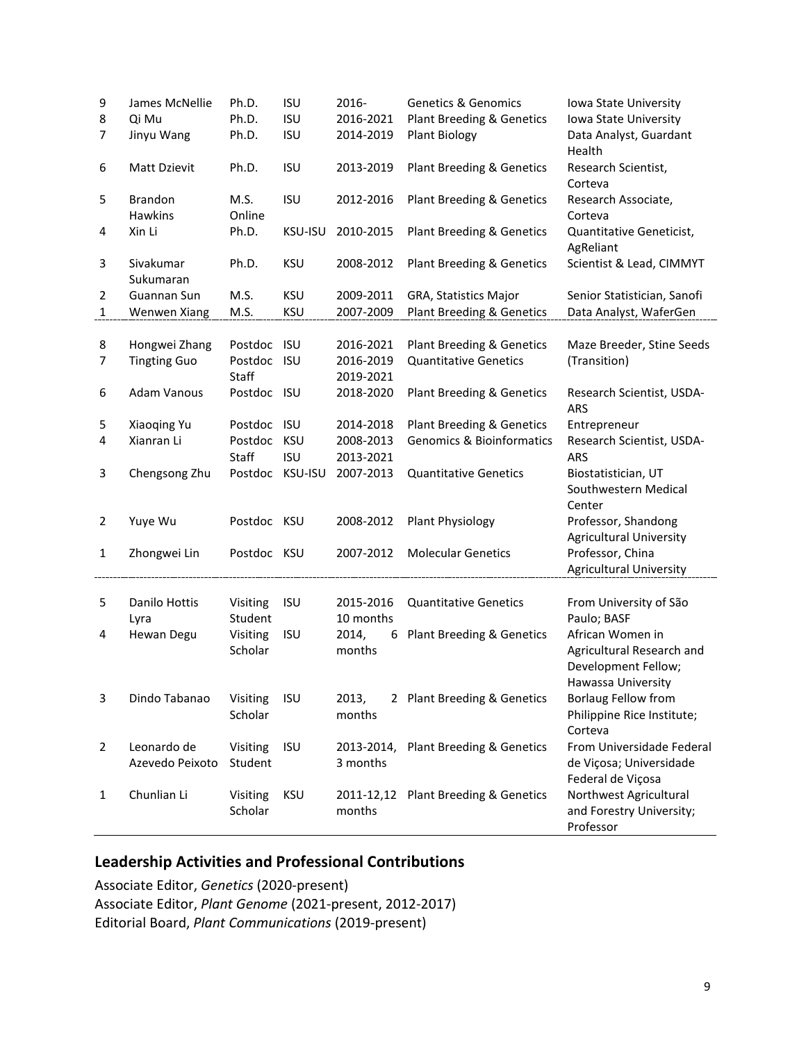| 9            | James McNellie                 | Ph.D.               | <b>ISU</b>               | 2016-                  | <b>Genetics &amp; Genomics</b>                    | Iowa State University                                                              |
|--------------|--------------------------------|---------------------|--------------------------|------------------------|---------------------------------------------------|------------------------------------------------------------------------------------|
| 8<br>7       | Qi Mu<br>Jinyu Wang            | Ph.D.<br>Ph.D.      | <b>ISU</b><br><b>ISU</b> | 2016-2021<br>2014-2019 | Plant Breeding & Genetics<br><b>Plant Biology</b> | Iowa State University<br>Data Analyst, Guardant<br>Health                          |
| 6            | Matt Dzievit                   | Ph.D.               | <b>ISU</b>               | 2013-2019              | Plant Breeding & Genetics                         | Research Scientist,<br>Corteva                                                     |
| 5            | <b>Brandon</b><br>Hawkins      | M.S.<br>Online      | <b>ISU</b>               | 2012-2016              | Plant Breeding & Genetics                         | Research Associate,<br>Corteva                                                     |
| 4            | Xin Li                         | Ph.D.               | KSU-ISU                  | 2010-2015              | Plant Breeding & Genetics                         | Quantitative Geneticist,<br>AgReliant                                              |
| 3            | Sivakumar<br>Sukumaran         | Ph.D.               | <b>KSU</b>               | 2008-2012              | Plant Breeding & Genetics                         | Scientist & Lead, CIMMYT                                                           |
| 2            | Guannan Sun                    | M.S.                | <b>KSU</b>               | 2009-2011              | GRA, Statistics Major                             | Senior Statistician, Sanofi                                                        |
| $\mathbf{1}$ | Wenwen Xiang                   | M.S.                | <b>KSU</b>               | 2007-2009              | Plant Breeding & Genetics                         | Data Analyst, WaferGen                                                             |
|              |                                |                     |                          |                        |                                                   |                                                                                    |
| 8            | Hongwei Zhang                  | Postdoc ISU         |                          | 2016-2021              | Plant Breeding & Genetics                         | Maze Breeder, Stine Seeds                                                          |
| 7            | <b>Tingting Guo</b>            | Postdoc ISU         |                          | 2016-2019              | <b>Quantitative Genetics</b>                      | (Transition)                                                                       |
|              |                                | Staff               |                          | 2019-2021              |                                                   |                                                                                    |
| 6            | <b>Adam Vanous</b>             | Postdoc ISU         |                          | 2018-2020              | Plant Breeding & Genetics                         | Research Scientist, USDA-<br><b>ARS</b>                                            |
| 5            | Xiaoqing Yu                    | Postdoc ISU         |                          | 2014-2018              | Plant Breeding & Genetics                         | Entrepreneur                                                                       |
| 4            | Xianran Li                     | Postdoc             | <b>KSU</b>               | 2008-2013              | <b>Genomics &amp; Bioinformatics</b>              | Research Scientist, USDA-                                                          |
|              |                                | Staff               | <b>ISU</b>               | 2013-2021              |                                                   | <b>ARS</b>                                                                         |
| 3            | Chengsong Zhu                  | Postdoc             | <b>KSU-ISU</b>           | 2007-2013              | <b>Quantitative Genetics</b>                      | Biostatistician, UT<br>Southwestern Medical<br>Center                              |
| 2            | Yuye Wu                        | Postdoc KSU         |                          | 2008-2012              | Plant Physiology                                  | Professor, Shandong<br><b>Agricultural University</b>                              |
| 1            | Zhongwei Lin                   | Postdoc KSU         |                          | 2007-2012              | <b>Molecular Genetics</b>                         | Professor, China<br><b>Agricultural University</b>                                 |
| 5            | Danilo Hottis                  | Visiting            | <b>ISU</b>               | 2015-2016              | <b>Quantitative Genetics</b>                      | From University of São                                                             |
|              | Lyra                           | Student             |                          | 10 months              |                                                   | Paulo; BASF                                                                        |
| 4            | Hewan Degu                     | Visiting<br>Scholar | <b>ISU</b>               | 2014,<br>months        | 6 Plant Breeding & Genetics                       | African Women in<br>Agricultural Research and<br>Development Fellow;               |
| 3            | Dindo Tabanao                  | Visiting<br>Scholar | <b>ISU</b>               | 2013,<br>months        | 2 Plant Breeding & Genetics                       | Hawassa University<br>Borlaug Fellow from<br>Philippine Rice Institute;<br>Corteva |
| 2            | Leonardo de<br>Azevedo Peixoto | Visiting<br>Student | <b>ISU</b>               | 3 months               | 2013-2014, Plant Breeding & Genetics              | From Universidade Federal<br>de Viçosa; Universidade<br>Federal de Viçosa          |
| 1            | Chunlian Li                    | Visiting<br>Scholar | KSU                      | months                 | 2011-12,12 Plant Breeding & Genetics              | Northwest Agricultural<br>and Forestry University;<br>Professor                    |

### **Leadership Activities and Professional Contributions**

Associate Editor, *Genetics* (2020-present) Associate Editor, *Plant Genome* (2021-present, 2012-2017) Editorial Board, *Plant Communications* (2019-present)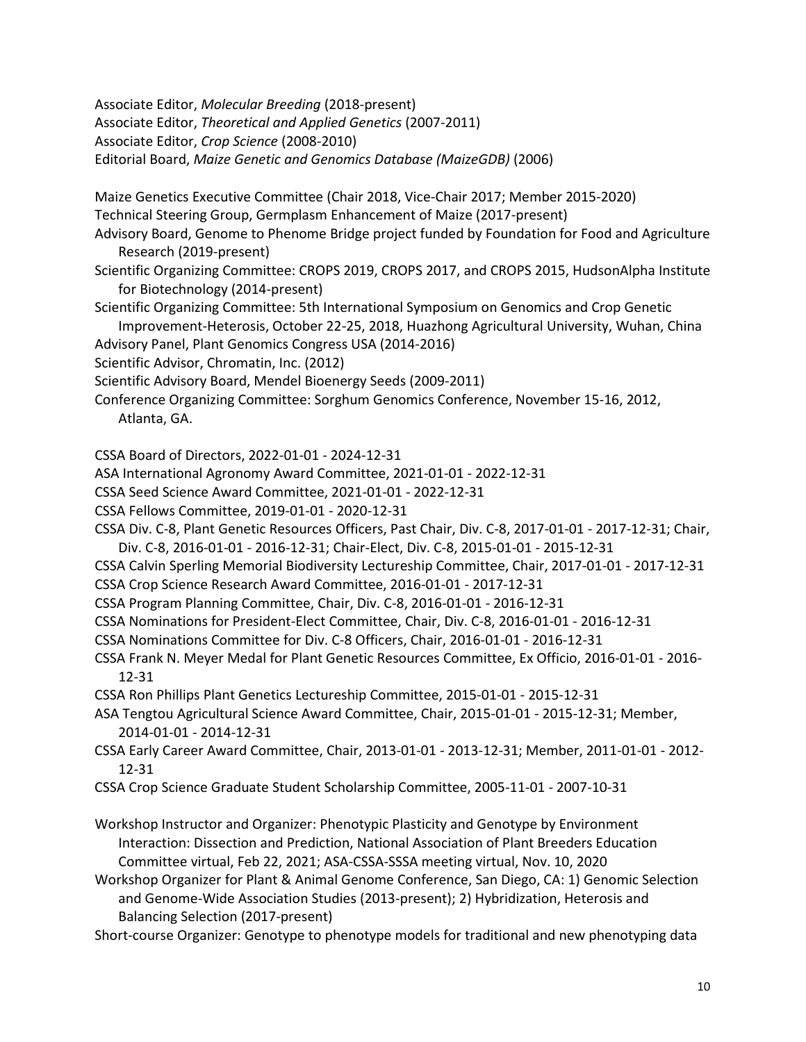Associate Editor, *Molecular Breeding* (2018-present)

Associate Editor, *Theoretical and Applied Genetics* (2007-2011)

Associate Editor, *Crop Science* (2008-2010)

Editorial Board, *Maize Genetic and Genomics Database (MaizeGDB)* (2006)

Maize Genetics Executive Committee (Chair 2018, Vice-Chair 2017; Member 2015-2020) Technical Steering Group, Germplasm Enhancement of Maize (2017-present)

- Advisory Board, Genome to Phenome Bridge project funded by Foundation for Food and Agriculture Research (2019-present)
- Scientific Organizing Committee: CROPS 2019, CROPS 2017, and CROPS 2015, HudsonAlpha Institute for Biotechnology (2014-present)
- Scientific Organizing Committee: 5th International Symposium on Genomics and Crop Genetic Improvement-Heterosis, October 22-25, 2018, Huazhong Agricultural University, Wuhan, China
- Advisory Panel, Plant Genomics Congress USA (2014-2016)
- Scientific Advisor, Chromatin, Inc. (2012)
- Scientific Advisory Board, Mendel Bioenergy Seeds (2009-2011)
- Conference Organizing Committee: Sorghum Genomics Conference, November 15-16, 2012, Atlanta, GA.

CSSA Board of Directors, 2022-01-01 - 2024-12-31

- ASA International Agronomy Award Committee, 2021-01-01 2022-12-31
- CSSA Seed Science Award Committee, 2021-01-01 2022-12-31
- CSSA Fellows Committee, 2019-01-01 2020-12-31
- CSSA Div. C-8, Plant Genetic Resources Officers, Past Chair, Div. C-8, 2017-01-01 2017-12-31; Chair,
- Div. C-8, 2016-01-01 2016-12-31; Chair-Elect, Div. C-8, 2015-01-01 2015-12-31
- CSSA Calvin Sperling Memorial Biodiversity Lectureship Committee, Chair, 2017-01-01 2017-12-31
- CSSA Crop Science Research Award Committee, 2016-01-01 2017-12-31
- CSSA Program Planning Committee, Chair, Div. C-8, 2016-01-01 2016-12-31
- CSSA Nominations for President-Elect Committee, Chair, Div. C-8, 2016-01-01 2016-12-31
- CSSA Nominations Committee for Div. C-8 Officers, Chair, 2016-01-01 2016-12-31
- CSSA Frank N. Meyer Medal for Plant Genetic Resources Committee, Ex Officio, 2016-01-01 2016- 12-31
- CSSA Ron Phillips Plant Genetics Lectureship Committee, 2015-01-01 2015-12-31
- ASA Tengtou Agricultural Science Award Committee, Chair, 2015-01-01 2015-12-31; Member, 2014-01-01 - 2014-12-31
- CSSA Early Career Award Committee, Chair, 2013-01-01 2013-12-31; Member, 2011-01-01 2012- 12-31
- CSSA Crop Science Graduate Student Scholarship Committee, 2005-11-01 2007-10-31
- Workshop Instructor and Organizer: Phenotypic Plasticity and Genotype by Environment Interaction: Dissection and Prediction, National Association of Plant Breeders Education Committee virtual, Feb 22, 2021; ASA-CSSA-SSSA meeting virtual, Nov. 10, 2020
- Workshop Organizer for Plant & Animal Genome Conference, San Diego, CA: 1) Genomic Selection and Genome-Wide Association Studies (2013-present); 2) Hybridization, Heterosis and Balancing Selection (2017-present)
- Short-course Organizer: Genotype to phenotype models for traditional and new phenotyping data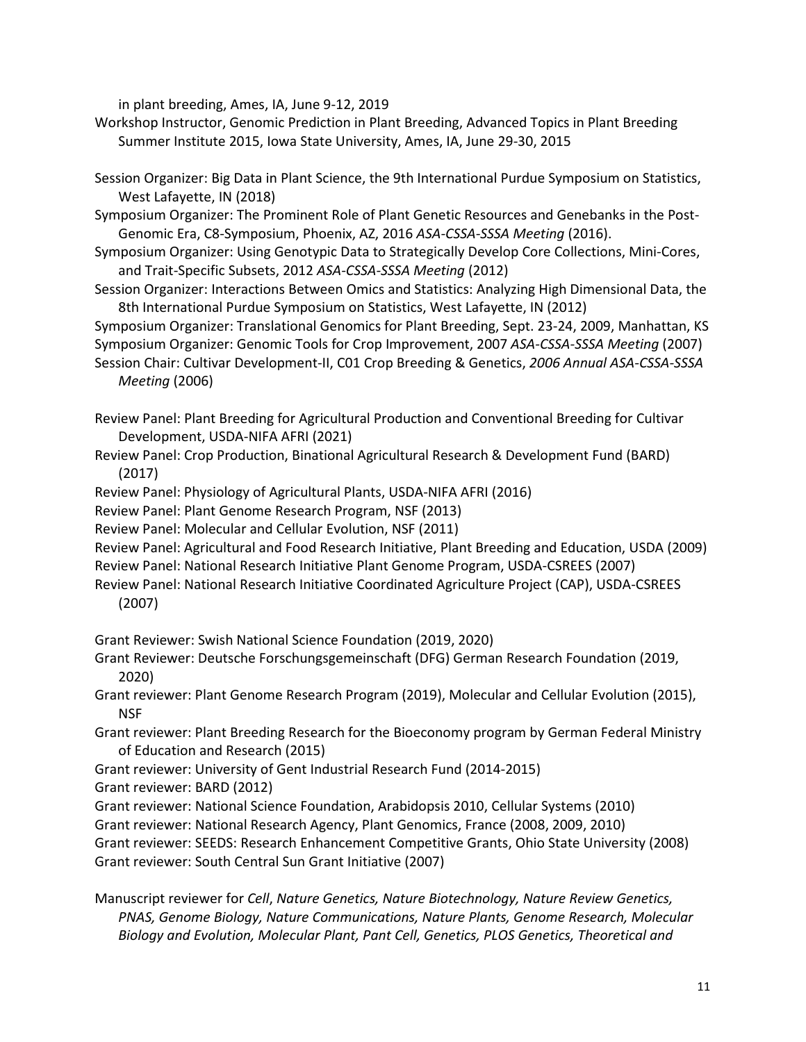in plant breeding, Ames, IA, June 9-12, 2019

Workshop Instructor, Genomic Prediction in Plant Breeding, Advanced Topics in Plant Breeding Summer Institute 2015, Iowa State University, Ames, IA, June 29-30, 2015

Session Organizer: Big Data in Plant Science, the 9th International Purdue Symposium on Statistics, West Lafayette, IN (2018)

Symposium Organizer: The Prominent Role of Plant Genetic Resources and Genebanks in the Post-Genomic Era, C8-Symposium, Phoenix, AZ, 2016 *ASA-CSSA-SSSA Meeting* (2016).

Symposium Organizer: Using Genotypic Data to Strategically Develop Core Collections, Mini-Cores, and Trait-Specific Subsets, 2012 *ASA-CSSA-SSSA Meeting* (2012)

Session Organizer: Interactions Between Omics and Statistics: Analyzing High Dimensional Data, the 8th International Purdue Symposium on Statistics, West Lafayette, IN (2012)

Symposium Organizer: Translational Genomics for Plant Breeding, Sept. 23-24, 2009, Manhattan, KS Symposium Organizer: Genomic Tools for Crop Improvement, 2007 *ASA-CSSA-SSSA Meeting* (2007)

Session Chair: Cultivar Development-II, C01 Crop Breeding & Genetics, *2006 Annual ASA-CSSA-SSSA Meeting* (2006)

Review Panel: Plant Breeding for Agricultural Production and Conventional Breeding for Cultivar Development, USDA-NIFA AFRI (2021)

- Review Panel: Crop Production, Binational Agricultural Research & Development Fund (BARD) (2017)
- Review Panel: Physiology of Agricultural Plants, USDA-NIFA AFRI (2016)

Review Panel: Plant Genome Research Program, NSF (2013)

Review Panel: Molecular and Cellular Evolution, NSF (2011)

Review Panel: Agricultural and Food Research Initiative, Plant Breeding and Education, USDA (2009) Review Panel: National Research Initiative Plant Genome Program, USDA-CSREES (2007)

Review Panel: National Research Initiative Coordinated Agriculture Project (CAP), USDA-CSREES (2007)

Grant Reviewer: Swish National Science Foundation (2019, 2020)

Grant Reviewer: Deutsche Forschungsgemeinschaft (DFG) German Research Foundation (2019, 2020)

Grant reviewer: Plant Genome Research Program (2019), Molecular and Cellular Evolution (2015), NSF

Grant reviewer: Plant Breeding Research for the Bioeconomy program by German Federal Ministry of Education and Research (2015)

Grant reviewer: University of Gent Industrial Research Fund (2014-2015)

Grant reviewer: BARD (2012)

Grant reviewer: National Science Foundation, Arabidopsis 2010, Cellular Systems (2010)

Grant reviewer: National Research Agency, Plant Genomics, France (2008, 2009, 2010)

Grant reviewer: SEEDS: Research Enhancement Competitive Grants, Ohio State University (2008)

Grant reviewer: South Central Sun Grant Initiative (2007)

Manuscript reviewer for *Cell*, *Nature Genetics, Nature Biotechnology, Nature Review Genetics, PNAS, Genome Biology, Nature Communications, Nature Plants, Genome Research, Molecular Biology and Evolution, Molecular Plant, Pant Cell, Genetics, PLOS Genetics, Theoretical and*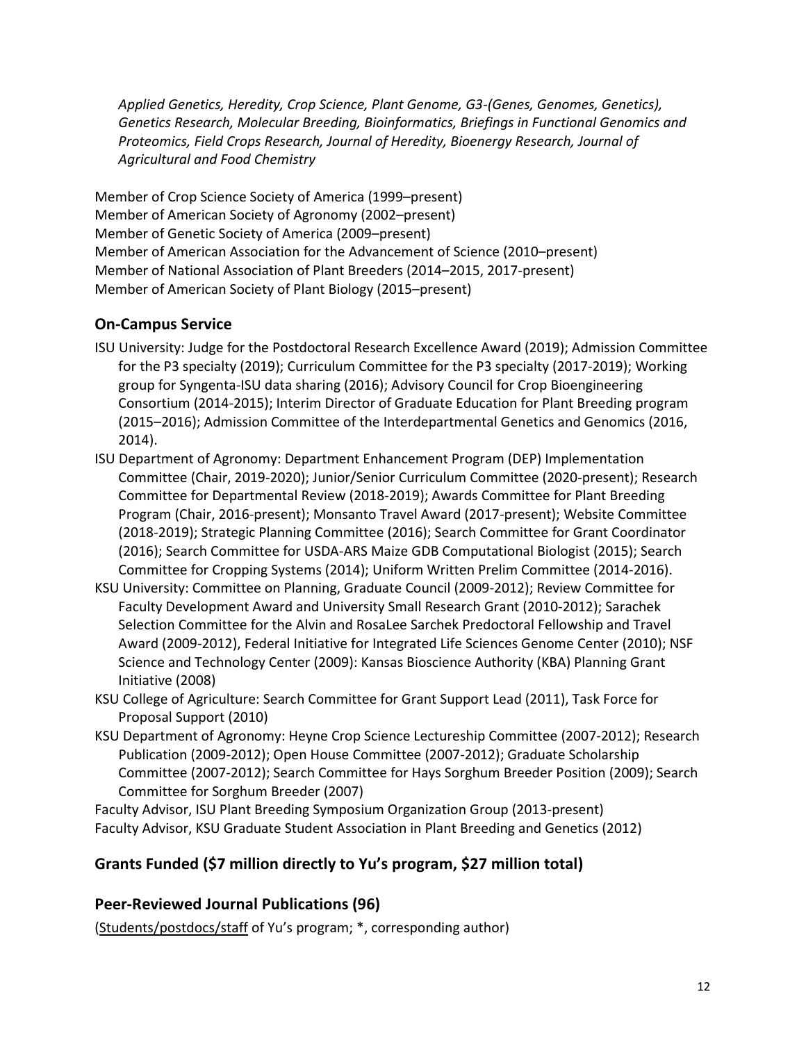*Applied Genetics, Heredity, Crop Science, Plant Genome, G3-(Genes, Genomes, Genetics), Genetics Research, Molecular Breeding, Bioinformatics, Briefings in Functional Genomics and Proteomics, Field Crops Research, Journal of Heredity, Bioenergy Research, Journal of Agricultural and Food Chemistry*

Member of Crop Science Society of America (1999–present) Member of American Society of Agronomy (2002–present) Member of Genetic Society of America (2009–present) Member of American Association for the Advancement of Science (2010–present) Member of National Association of Plant Breeders (2014–2015, 2017-present) Member of American Society of Plant Biology (2015–present)

### **On-Campus Service**

- ISU University: Judge for the Postdoctoral Research Excellence Award (2019); Admission Committee for the P3 specialty (2019); Curriculum Committee for the P3 specialty (2017-2019); Working group for Syngenta-ISU data sharing (2016); Advisory Council for Crop Bioengineering Consortium (2014-2015); Interim Director of Graduate Education for Plant Breeding program (2015–2016); Admission Committee of the Interdepartmental Genetics and Genomics (2016, 2014).
- ISU Department of Agronomy: Department Enhancement Program (DEP) Implementation Committee (Chair, 2019-2020); Junior/Senior Curriculum Committee (2020-present); Research Committee for Departmental Review (2018-2019); Awards Committee for Plant Breeding Program (Chair, 2016-present); Monsanto Travel Award (2017-present); Website Committee (2018-2019); Strategic Planning Committee (2016); Search Committee for Grant Coordinator (2016); Search Committee for USDA-ARS Maize GDB Computational Biologist (2015); Search Committee for Cropping Systems (2014); Uniform Written Prelim Committee (2014-2016).
- KSU University: Committee on Planning, Graduate Council (2009-2012); Review Committee for Faculty Development Award and University Small Research Grant (2010-2012); Sarachek Selection Committee for the Alvin and RosaLee Sarchek Predoctoral Fellowship and Travel Award (2009-2012), Federal Initiative for Integrated Life Sciences Genome Center (2010); NSF Science and Technology Center (2009): Kansas Bioscience Authority (KBA) Planning Grant Initiative (2008)
- KSU College of Agriculture: Search Committee for Grant Support Lead (2011), Task Force for Proposal Support (2010)
- KSU Department of Agronomy: Heyne Crop Science Lectureship Committee (2007-2012); Research Publication (2009-2012); Open House Committee (2007-2012); Graduate Scholarship Committee (2007-2012); Search Committee for Hays Sorghum Breeder Position (2009); Search Committee for Sorghum Breeder (2007)

Faculty Advisor, ISU Plant Breeding Symposium Organization Group (2013-present) Faculty Advisor, KSU Graduate Student Association in Plant Breeding and Genetics (2012)

# **Grants Funded (\$7 million directly to Yu's program, \$27 million total)**

#### **Peer-Reviewed Journal Publications (96)**

(Students/postdocs/staff of Yu's program; \*, corresponding author)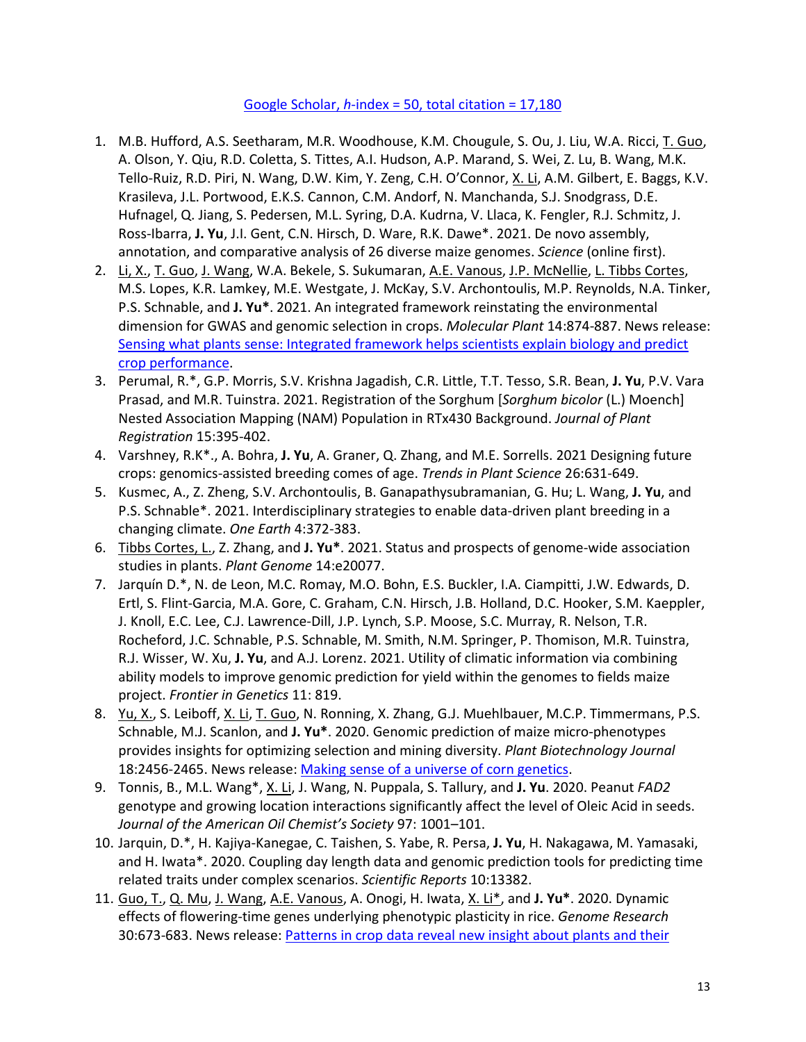#### Google Scholar, *h*[-index = 50, total citation =](https://scholar.google.com/citations?user=x59S4kEAAAAJ&hl=en) 17,180

- 1. M.B. Hufford, A.S. Seetharam, M.R. Woodhouse, K.M. Chougule, S. Ou, J. Liu, W.A. Ricci, T. Guo, A. Olson, Y. Qiu, R.D. Coletta, S. Tittes, A.I. Hudson, A.P. Marand, S. Wei, Z. Lu, B. Wang, M.K. Tello-Ruiz, R.D. Piri, N. Wang, D.W. Kim, Y. Zeng, C.H. O'Connor, X. Li, A.M. Gilbert, E. Baggs, K.V. Krasileva, J.L. Portwood, E.K.S. Cannon, C.M. Andorf, N. Manchanda, S.J. Snodgrass, D.E. Hufnagel, Q. Jiang, S. Pedersen, M.L. Syring, D.A. Kudrna, V. Llaca, K. Fengler, R.J. Schmitz, J. Ross-Ibarra, **J. Yu**, J.I. Gent, C.N. Hirsch, D. Ware, R.K. Dawe\*. 2021. De novo assembly, annotation, and comparative analysis of 26 diverse maize genomes. *Science* (online first).
- 2. Li, X., T. Guo, J. Wang, W.A. Bekele, S. Sukumaran, A.E. Vanous, J.P. McNellie, L. Tibbs Cortes, M.S. Lopes, K.R. Lamkey, M.E. Westgate, J. McKay, S.V. Archontoulis, M.P. Reynolds, N.A. Tinker, P.S. Schnable, and **J. Yu\***. 2021. An integrated framework reinstating the environmental dimension for GWAS and genomic selection in crops. *Molecular Plant* 14:874-887. News release: [Sensing what plants sense: Integrated framework helps scientists explain biology and predict](https://www.news.iastate.edu/news/2021/06/07/integreatedframeworkcrops)  [crop performance.](https://www.news.iastate.edu/news/2021/06/07/integreatedframeworkcrops)
- 3. Perumal, R.\*, G.P. Morris, S.V. Krishna Jagadish, C.R. Little, T.T. Tesso, S.R. Bean, **J. Yu**, P.V. Vara Prasad, and M.R. Tuinstra. 2021. Registration of the Sorghum [*Sorghum bicolor* (L.) Moench] Nested Association Mapping (NAM) Population in RTx430 Background. *Journal of Plant Registration* 15:395-402.
- 4. Varshney, R.K\*., A. Bohra, **J. Yu**, A. Graner, Q. Zhang, and M.E. Sorrells. 2021 Designing future crops: genomics-assisted breeding comes of age. *Trends in Plant Science* 26:631-649.
- 5. Kusmec, A., Z. Zheng, S.V. Archontoulis, B. Ganapathysubramanian, G. Hu; L. Wang, **J. Yu**, and P.S. Schnable\*. 2021. Interdisciplinary strategies to enable data-driven plant breeding in a changing climate. *One Earth* 4:372-383.
- 6. Tibbs Cortes, L., Z. Zhang, and **J. Yu\***. 2021. Status and prospects of genome-wide association studies in plants. *Plant Genome* 14:e20077.
- 7. Jarquín D.\*, N. de Leon, M.C. Romay, M.O. Bohn, E.S. Buckler, I.A. Ciampitti, J.W. Edwards, D. Ertl, S. Flint-Garcia, M.A. Gore, C. Graham, C.N. Hirsch, J.B. Holland, D.C. Hooker, S.M. Kaeppler, J. Knoll, E.C. Lee, C.J. Lawrence-Dill, J.P. Lynch, S.P. Moose, S.C. Murray, R. Nelson, T.R. Rocheford, J.C. Schnable, P.S. Schnable, M. Smith, N.M. Springer, P. Thomison, M.R. Tuinstra, R.J. Wisser, W. Xu, **J. Yu**, and A.J. Lorenz. 2021. Utility of climatic information via combining ability models to improve genomic prediction for yield within the genomes to fields maize project. *Frontier in Genetics* 11: 819.
- 8. Yu, X., S. Leiboff, X. Li, T. Guo, N. Ronning, X. Zhang, G.J. Muehlbauer, M.C.P. Timmermans, P.S. Schnable, M.J. Scanlon, and **J. Yu\***. 2020. Genomic prediction of maize micro-phenotypes provides insights for optimizing selection and mining diversity. *Plant Biotechnology Journal* 18:2456-2465. News release: [Making sense of a universe of corn genetics.](https://www.news.iastate.edu/news/2020/11/23/turbochargegenes2020)
- 9. Tonnis, B., M.L. Wang\*, X. Li, J. Wang, N. Puppala, S. Tallury, and **J. Yu**. 2020. Peanut *FAD2* genotype and growing location interactions significantly affect the level of Oleic Acid in seeds. *Journal of the American Oil Chemist's Society* 97: 1001–101.
- 10. Jarquin, D.\*, H. Kajiya-Kanegae, C. Taishen, S. Yabe, R. Persa, **J. Yu**, H. Nakagawa, M. Yamasaki, and H. Iwata\*. 2020. Coupling day length data and genomic prediction tools for predicting time related traits under complex scenarios. *Scientific Reports* 10:13382.
- 11. Guo, T., Q. Mu, J. Wang, A.E. Vanous, A. Onogi, H. Iwata, X. Li\*, and **J. Yu\***. 2020. Dynamic effects of flowering-time genes underlying phenotypic plasticity in rice. *Genome Research*  30:673-683. News release[: Patterns in crop data reveal new insight about plants and their](https://www.news.iastate.edu/news/2020/05/27/yurice)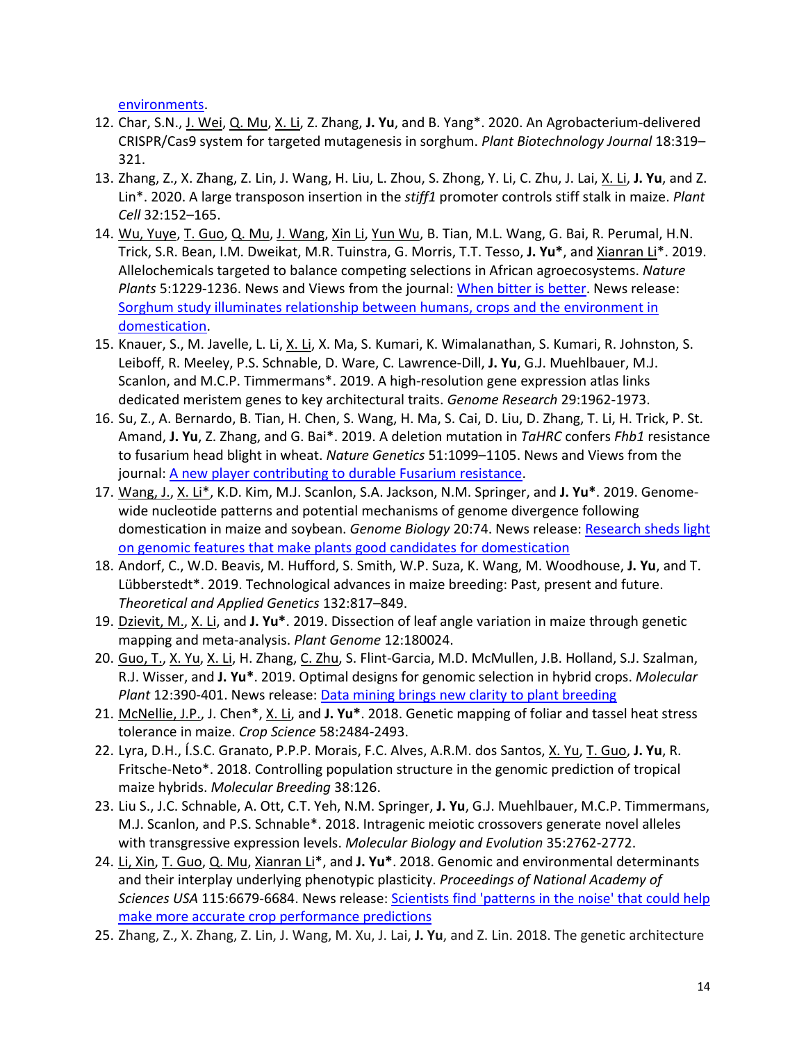[environments.](https://www.news.iastate.edu/news/2020/05/27/yurice)

- 12. Char, S.N., J. Wei, Q. Mu, X. Li, Z. Zhang, **J. Yu**, and B. Yang\*. 2020. An Agrobacterium-delivered CRISPR/Cas9 system for targeted mutagenesis in sorghum. *Plant Biotechnology Journal* 18:319– 321.
- 13. Zhang, Z., X. Zhang, Z. Lin, J. Wang, H. Liu, L. Zhou, S. Zhong, Y. Li, C. Zhu, J. Lai, X. Li, **J. Yu**, and Z. Lin\*. 2020. A large transposon insertion in the *stiff1* promoter controls stiff stalk in maize. *Plant Cell* 32:152–165.
- 14. Wu, Yuye, T. Guo, Q. Mu, J. Wang, Xin Li, Yun Wu, B. Tian, M.L. Wang, G. Bai, R. Perumal, H.N. Trick, S.R. Bean, I.M. Dweikat, M.R. Tuinstra, G. Morris, T.T. Tesso, **J. Yu\***, and Xianran Li\*. 2019. Allelochemicals targeted to balance competing selections in African agroecosystems. *Nature Plants* 5:1229-1236. News and Views from the journal: [When bitter is better.](https://doi.org/10.1038/s41477-019-0567-9) News release: [Sorghum study illuminates relationship between humans, crops and the environment in](https://www.news.iastate.edu/news/2019/12/10/sorghumdomesticationtriangle)  [domestication.](https://www.news.iastate.edu/news/2019/12/10/sorghumdomesticationtriangle)
- 15. Knauer, S., M. Javelle, L. Li, X. Li, X. Ma, S. Kumari, K. Wimalanathan, S. Kumari, R. Johnston, S. Leiboff, R. Meeley, P.S. Schnable, D. Ware, C. Lawrence-Dill, **J. Yu**, G.J. Muehlbauer, M.J. Scanlon, and M.C.P. Timmermans\*. 2019. A high-resolution gene expression atlas links dedicated meristem genes to key architectural traits. *Genome Research* 29:1962-1973.
- 16. Su, Z., A. Bernardo, B. Tian, H. Chen, S. Wang, H. Ma, S. Cai, D. Liu, D. Zhang, T. Li, H. Trick, P. St. Amand, **J. Yu**, Z. Zhang, and G. Bai\*. 2019. A deletion mutation in *TaHRC* confers *Fhb1* resistance to fusarium head blight in wheat. *Nature Genetics* 51:1099–1105. News and Views from the journal[: A new player contributing to durable Fusarium resistance.](https://www.nature.com/articles/s41588-019-0454-3)
- 17. Wang, J., X. Li\*, K.D. Kim, M.J. Scanlon, S.A. Jackson, N.M. Springer, and **J. Yu\***. 2019. Genomewide nucleotide patterns and potential mechanisms of genome divergence following domestication in maize and soybean. *Genome Biology* 20:74. News release: [Research sheds light](https://www.news.iastate.edu/news/2019/04/24/domesticationgenome)  [on genomic features that make plants good candidates for domestication](https://www.news.iastate.edu/news/2019/04/24/domesticationgenome)
- 18. Andorf, C., W.D. Beavis, M. Hufford, S. Smith, W.P. Suza, K. Wang, M. Woodhouse, **J. Yu**, and T. Lübberstedt\*. 2019. Technological advances in maize breeding: Past, present and future. *Theoretical and Applied Genetics* 132:817–849.
- 19. Dzievit, M., X. Li, and **J. Yu\***. 2019. Dissection of leaf angle variation in maize through genetic mapping and meta-analysis. *Plant Genome* 12:180024.
- 20. Guo, T., X. Yu, X. Li, H. Zhang, C. Zhu, S. Flint-Garcia, M.D. McMullen, J.B. Holland, S.J. Szalman, R.J. Wisser, and **J. Yu\***. 2019. Optimal designs for genomic selection in hybrid crops. *Molecular Plant* 12:390-401. News release[: Data mining brings new clarity to plant breeding](https://www.news.iastate.edu/news/2019/02/08/datamininggenomics)
- 21. McNellie, J.P., J. Chen\*, X. Li, and **J. Yu\***. 2018. Genetic mapping of foliar and tassel heat stress tolerance in maize. *Crop Science* 58:2484-2493.
- 22. Lyra, D.H., Í.S.C. Granato, P.P.P. Morais, F.C. Alves, A.R.M. dos Santos, X. Yu, T. Guo, **J. Yu**, R. Fritsche-Neto\*. 2018. Controlling population structure in the genomic prediction of tropical maize hybrids. *Molecular Breeding* 38:126.
- 23. Liu S., J.C. Schnable, A. Ott, C.T. Yeh, N.M. Springer, **J. Yu**, G.J. Muehlbauer, M.C.P. Timmermans, M.J. Scanlon, and P.S. Schnable\*. 2018. Intragenic meiotic crossovers generate novel alleles with transgressive expression levels. *Molecular Biology and Evolution* 35:2762-2772.
- 24. Li, Xin, T. Guo, Q. Mu, Xianran Li\*, and **J. Yu\***. 2018. Genomic and environmental determinants and their interplay underlying phenotypic plasticity. *Proceedings of National Academy of Sciences USA* 115:6679-6684. News release: [Scientists find 'patterns in the noise' that could help](https://phys.org/news/2018-06-scientists-patterns-noise-accurate-crop.html)  [make more accurate crop performance predictions](https://phys.org/news/2018-06-scientists-patterns-noise-accurate-crop.html)
- 25. Zhang, Z., X. Zhang, Z. Lin, J. Wang, M. Xu, J. Lai, **J. Yu**, and Z. Lin. 2018. The genetic architecture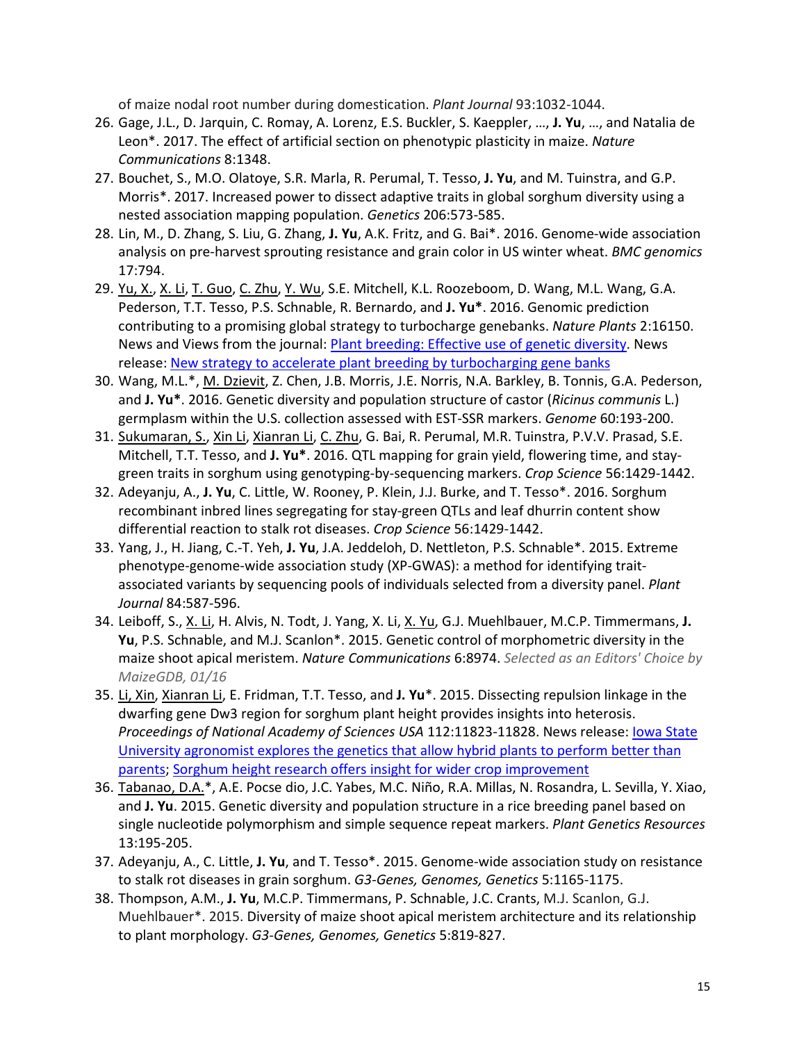of maize nodal root number during domestication. *Plant Journal* 93:1032-1044.

- 26. Gage, J.L., D. Jarquin, C. Romay, A. Lorenz, E.S. Buckler, S. Kaeppler, …, **J. Yu**, …, and Natalia de Leon\*. 2017. The effect of artificial section on phenotypic plasticity in maize. *Nature Communications* 8:1348.
- 27. Bouchet, S., M.O. Olatoye, S.R. Marla, R. Perumal, T. Tesso, **J. Yu**, and M. Tuinstra, and G.P. Morris\*. 2017. Increased power to dissect adaptive traits in global sorghum diversity using a nested association mapping population. *Genetics* 206:573-585.
- 28. Lin, M., D. Zhang, S. Liu, G. Zhang, **J. Yu**, A.K. Fritz, and G. Bai\*. 2016. Genome-wide association analysis on pre-harvest sprouting resistance and grain color in US winter wheat. *BMC genomics* 17:794.
- 29. Yu, X., X. Li, T. Guo, C. Zhu, Y. Wu, S.E. Mitchell, K.L. Roozeboom, D. Wang, M.L. Wang, G.A. Pederson, T.T. Tesso, P.S. Schnable, R. Bernardo, and **J. Yu\***. 2016. Genomic prediction contributing to a promising global strategy to turbocharge genebanks. *Nature Plants* 2:16150. News and Views from the journal: [Plant breeding: Effective use of genetic diversity.](http://www.nature.com/articles/nplants2016154) News release[: New strategy to accelerate plant breeding by turbocharging gene banks](https://www.sciencedaily.com/releases/2016/10/161003130910.htm)
- 30. Wang, M.L.\*, M. Dzievit, Z. Chen, J.B. Morris, J.E. Norris, N.A. Barkley, B. Tonnis, G.A. Pederson, and **J. Yu\***. 2016. Genetic diversity and population structure of castor (*Ricinus communis* L.) germplasm within the U.S. collection assessed with EST-SSR markers. *Genome* 60:193-200.
- 31. Sukumaran, S., Xin Li, Xianran Li, C. Zhu, G. Bai, R. Perumal, M.R. Tuinstra, P.V.V. Prasad, S.E. Mitchell, T.T. Tesso, and **J. Yu\***. 2016. QTL mapping for grain yield, flowering time, and staygreen traits in sorghum using genotyping-by-sequencing markers. *Crop Science* 56:1429-1442.
- 32. Adeyanju, A., **J. Yu**, C. Little, W. Rooney, P. Klein, J.J. Burke, and T. Tesso\*. 2016. Sorghum recombinant inbred lines segregating for stay-green QTLs and leaf dhurrin content show differential reaction to stalk rot diseases. *Crop Science* 56:1429-1442.
- 33. Yang, J., H. Jiang, C.-T. Yeh, **J. Yu**, J.A. Jeddeloh, D. Nettleton, P.S. Schnable\*. 2015. Extreme phenotype-genome-wide association study (XP-GWAS): a method for identifying traitassociated variants by sequencing pools of individuals selected from a diversity panel. *Plant Journal* 84:587-596.
- 34. Leiboff, S., X. Li, H. Alvis, N. Todt, J. Yang, X. Li, X. Yu, G.J. Muehlbauer, M.C.P. Timmermans, **J. Yu**, P.S. Schnable, and M.J. Scanlon\*. 2015. Genetic control of morphometric diversity in the maize shoot apical meristem. *Nature Communications* 6:8974. *Selected as an Editors' Choice by MaizeGDB, 01/16*
- 35. Li, Xin, Xianran Li, E. Fridman, T.T. Tesso, and **J. Yu**\*. 2015. Dissecting repulsion linkage in the dwarfing gene Dw3 region for sorghum plant height provides insights into heterosis. *Proceedings of National Academy of Sciences USA* 112:11823-11828. News release: [Iowa State](http://www.sciencedaily.com/releases/2015/10/151007125833.htm)  [University agronomist explores the genetics that allow hybrid plants to perform better than](http://www.sciencedaily.com/releases/2015/10/151007125833.htm)  [parents;](http://www.sciencedaily.com/releases/2015/10/151007125833.htm) [Sorghum height research offers insight for wider crop improvement](http://www.feednavigator.com/R-D/Sorghum-height-research-offers-insight-for-wider-crop-improvement)
- 36. Tabanao, D.A.\*, A.E. Pocse dio, J.C. Yabes, M.C. Niño, R.A. Millas, N. Rosandra, L. Sevilla, Y. Xiao, and **J. Yu**. 2015. Genetic diversity and population structure in a rice breeding panel based on single nucleotide polymorphism and simple sequence repeat markers. *Plant Genetics Resources* 13:195-205.
- 37. Adeyanju, A., C. Little, **J. Yu**, and T. Tesso\*. 2015. Genome-wide association study on resistance to stalk rot diseases in grain sorghum. *G3-Genes, Genomes, Genetics* 5:1165-1175.
- 38. Thompson, A.M., **J. Yu**, M.C.P. Timmermans, P. Schnable, J.C. Crants, M.J. Scanlon, G.J. Muehlbauer\*. 2015. Diversity of maize shoot apical meristem architecture and its relationship to plant morphology. *G3-Genes, Genomes, Genetics* 5:819-827.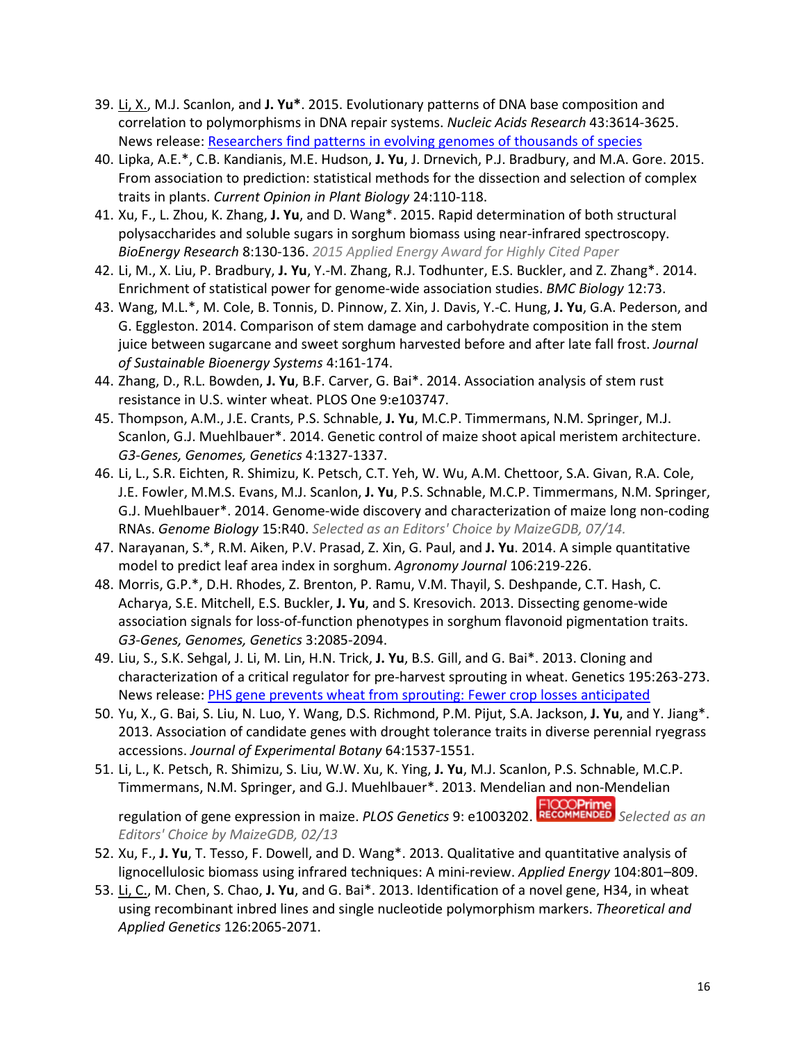- 39. Li, X., M.J. Scanlon, and **J. Yu\***. 2015. Evolutionary patterns of DNA base composition and correlation to polymorphisms in DNA repair systems. *Nucleic Acids Research* 43:3614-3625. News release: [Researchers find patterns in evolving genomes of thousands of species](http://phys.org/news/2015-03-patterns-evolving-genomes-thousands-species.html)
- 40. Lipka, A.E.\*, C.B. Kandianis, M.E. Hudson, **J. Yu**, J. Drnevich, P.J. Bradbury, and M.A. Gore. 2015. From association to prediction: statistical methods for the dissection and selection of complex traits in plants. *Current Opinion in Plant Biology* 24:110-118.
- 41. Xu, F., L. Zhou, K. Zhang, **J. Yu**, and D. Wang\*. 2015. Rapid determination of both structural polysaccharides and soluble sugars in sorghum biomass using near-infrared spectroscopy. *BioEnergy Research* 8:130-136. *2015 Applied Energy Award for Highly Cited Paper*
- 42. Li, M., X. Liu, P. Bradbury, **J. Yu**, Y.-M. Zhang, R.J. Todhunter, E.S. Buckler, and Z. Zhang\*. 2014. Enrichment of statistical power for genome-wide association studies. *BMC Biology* 12:73.
- 43. Wang, M.L.\*, M. Cole, B. Tonnis, D. Pinnow, Z. Xin, J. Davis, Y.-C. Hung, **J. Yu**, G.A. Pederson, and G. Eggleston. 2014. Comparison of stem damage and carbohydrate composition in the stem juice between sugarcane and sweet sorghum harvested before and after late fall frost. *Journal of Sustainable Bioenergy Systems* 4:161-174.
- 44. Zhang, D., R.L. Bowden, **J. Yu**, B.F. Carver, G. Bai\*. 2014. Association analysis of stem rust resistance in U.S. winter wheat. PLOS One 9:e103747.
- 45. Thompson, A.M., J.E. Crants, P.S. Schnable, **J. Yu**, M.C.P. Timmermans, N.M. Springer, M.J. Scanlon, G.J. Muehlbauer\*. 2014. Genetic control of maize shoot apical meristem architecture. *G3-Genes, Genomes, Genetics* 4:1327-1337.
- 46. Li, L., S.R. Eichten, R. Shimizu, K. Petsch, C.T. Yeh, W. Wu, A.M. Chettoor, S.A. Givan, R.A. Cole, J.E. Fowler, M.M.S. Evans, M.J. Scanlon, **J. Yu**, P.S. Schnable, M.C.P. Timmermans, N.M. Springer, G.J. Muehlbauer\*. 2014. Genome-wide discovery and characterization of maize long non-coding RNAs. *Genome Biology* 15:R40. *Selected as an Editors' Choice by MaizeGDB, 07/14.*
- 47. Narayanan, S.\*, R.M. Aiken, P.V. Prasad, Z. Xin, G. Paul, and **J. Yu**. 2014. A simple quantitative model to predict leaf area index in sorghum. *Agronomy Journal* 106:219-226.
- 48. Morris, G.P.\*, D.H. Rhodes, Z. Brenton, P. Ramu, V.M. Thayil, S. Deshpande, C.T. Hash, C. Acharya, S.E. Mitchell, E.S. Buckler, **J. Yu**, and S. Kresovich. 2013. Dissecting genome-wide association signals for loss-of-function phenotypes in sorghum flavonoid pigmentation traits. *G3-Genes, Genomes, Genetics* 3:2085-2094.
- 49. Liu, S., S.K. Sehgal, J. Li, M. Lin, H.N. Trick, **J. Yu**, B.S. Gill, and G. Bai\*. 2013. Cloning and characterization of a critical regulator for pre-harvest sprouting in wheat. Genetics 195:263-273. News release: [PHS gene prevents wheat from sprouting: Fewer crop losses anticipated](https://www.sciencedaily.com/releases/2013/08/130820113756.htm)
- 50. Yu, X., G. Bai, S. Liu, N. Luo, Y. Wang, D.S. Richmond, P.M. Pijut, S.A. Jackson, **J. Yu**, and Y. Jiang\*. 2013. Association of candidate genes with drought tolerance traits in diverse perennial ryegrass accessions. *Journal of Experimental Botany* 64:1537-1551.
- 51. Li, L., K. Petsch, R. Shimizu, S. Liu, W.W. Xu, K. Ying, **J. Yu**, M.J. Scanlon, P.S. Schnable, M.C.P. Timmermans, N.M. Springer, and G.J. Muehlbauer\*. 2013. Mendelian and non-Mendelian regulation of gene expression in maize. *PLOS Genetics* 9: e1003202. *Selected as an*

*Editors' Choice by MaizeGDB, 02/13* 52. Xu, F., **J. Yu**, T. Tesso, F. Dowell, and D. Wang\*. 2013. Qualitative and quantitative analysis of

- lignocellulosic biomass using infrared techniques: A mini-review. *Applied Energy* 104:801–809.
- 53. Li, C., M. Chen, S. Chao, **J. Yu**, and G. Bai\*. 2013. Identification of a novel gene, H34, in wheat using recombinant inbred lines and single nucleotide polymorphism markers. *Theoretical and Applied Genetics* 126:2065-2071.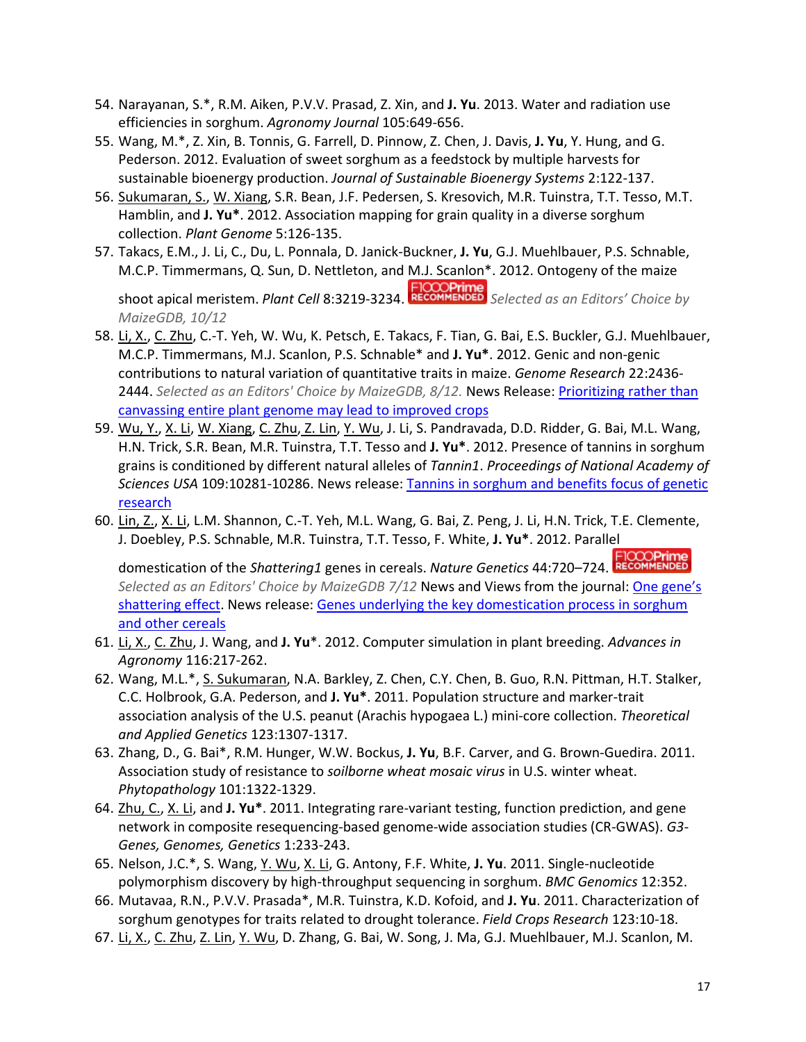- 54. Narayanan, S.\*, R.M. Aiken, P.V.V. Prasad, Z. Xin, and **J. Yu**. 2013. Water and radiation use efficiencies in sorghum. *Agronomy Journal* 105:649-656.
- 55. Wang, M.\*, Z. Xin, B. Tonnis, G. Farrell, D. Pinnow, Z. Chen, J. Davis, **J. Yu**, Y. Hung, and G. Pederson. 2012. Evaluation of sweet sorghum as a feedstock by multiple harvests for sustainable bioenergy production. *Journal of Sustainable Bioenergy Systems* 2:122-137.
- 56. Sukumaran, S., W. Xiang, S.R. Bean, J.F. Pedersen, S. Kresovich, M.R. Tuinstra, T.T. Tesso, M.T. Hamblin, and **J. Yu\***. 2012. Association mapping for grain quality in a diverse sorghum collection. *Plant Genome* 5:126-135.
- 57. Takacs, E.M., J. Li, C., Du, L. Ponnala, D. Janick-Buckner, **J. Yu**, G.J. Muehlbauer, P.S. Schnable, M.C.P. Timmermans, Q. Sun, D. Nettleton, and M.J. Scanlon\*. 2012. Ontogeny of the maize

shoot apical meristem. *Plant Cell* 8:3219-3234. *Selected as an Editors' Choice by MaizeGDB, 10/12*

- 58. Li, X., C. Zhu, C.-T. Yeh, W. Wu, K. Petsch, E. Takacs, F. Tian, G. Bai, E.S. Buckler, G.J. Muehlbauer, M.C.P. Timmermans, M.J. Scanlon, P.S. Schnable\* and **J. Yu\***. 2012. Genic and non-genic contributions to natural variation of quantitative traits in maize. *Genome Research* 22:2436- 2444. *Selected as an Editors' Choice by MaizeGDB, 8/12.* News Release: [Prioritizing rather than](http://www.sciencedaily.com/releases/2012/12/121204145649.htm)  [canvassing entire plant genome may lead to improved crops](http://www.sciencedaily.com/releases/2012/12/121204145649.htm)
- 59. Wu, Y., X. Li, W. Xiang, C. Zhu, Z. Lin, Y. Wu, J. Li, S. Pandravada, D.D. Ridder, G. Bai, M.L. Wang, H.N. Trick, S.R. Bean, M.R. Tuinstra, T.T. Tesso and **J. Yu\***. 2012. Presence of tannins in sorghum grains is conditioned by different natural alleles of *Tannin1*. *Proceedings of National Academy of Sciences USA* 109:10281-10286. News release: [Tannins in sorghum and benefits focus of genetic](http://phys.org/news/2012-07-tannins-sorghum-benefits-focus-genetic.html)  [research](http://phys.org/news/2012-07-tannins-sorghum-benefits-focus-genetic.html)
- 60. Lin, Z., X. Li, L.M. Shannon, C.-T. Yeh, M.L. Wang, G. Bai, Z. Peng, J. Li, H.N. Trick, T.E. Clemente, J. Doebley, P.S. Schnable, M.R. Tuinstra, T.T. Tesso, F. White, **J. Yu\***. 2012. Parallel

domestication of the *Shattering1* genes in cereals. *Nature Genetics* 44:720–724. *Selected as an Editors' Choice by MaizeGDB 7/12* News and Views from the journal[: One gene's](http://www.nature.com/ng/journal/v44/n6/full/ng.2289.html)  [shattering effect.](http://www.nature.com/ng/journal/v44/n6/full/ng.2289.html) News release: [Genes underlying the key domestication process in sorghum](http://phys.org/news/2012-05-genes-underlying-key-domestication-sorghum.html)  [and other cereals](http://phys.org/news/2012-05-genes-underlying-key-domestication-sorghum.html)

- 61. Li, X., C. Zhu, J. Wang, and **J. Yu**\*. 2012. Computer simulation in plant breeding. *Advances in Agronomy* 116:217-262.
- 62. Wang, M.L.\*, S. Sukumaran, N.A. Barkley, Z. Chen, C.Y. Chen, B. Guo, R.N. Pittman, H.T. Stalker, C.C. Holbrook, G.A. Pederson, and **J. Yu\***. 2011. Population structure and marker-trait association analysis of the U.S. peanut (Arachis hypogaea L.) mini-core collection. *Theoretical and Applied Genetics* 123:1307-1317.
- 63. Zhang, D., G. Bai\*, R.M. Hunger, W.W. Bockus, **J. Yu**, B.F. Carver, and G. Brown-Guedira. 2011. Association study of resistance to *soilborne wheat mosaic virus* in U.S. winter wheat. *Phytopathology* 101:1322-1329.
- 64. Zhu, C., X. Li, and **J. Yu\***. 2011. Integrating rare-variant testing, function prediction, and gene network in composite resequencing-based genome-wide association studies (CR-GWAS). *G3- Genes, Genomes, Genetics* 1:233-243.
- 65. Nelson, J.C.\*, S. Wang, Y. Wu, X. Li, G. Antony, F.F. White, **J. Yu**. 2011. Single-nucleotide polymorphism discovery by high-throughput sequencing in sorghum. *BMC Genomics* 12:352.
- 66. Mutavaa, R.N., P.V.V. Prasada\*, M.R. Tuinstra, K.D. Kofoid, and **J. Yu**. 2011. Characterization of sorghum genotypes for traits related to drought tolerance. *Field Crops Research* 123:10-18.
- 67. Li, X., C. Zhu, Z. Lin, Y. Wu, D. Zhang, G. Bai, W. Song, J. Ma, G.J. Muehlbauer, M.J. Scanlon, M.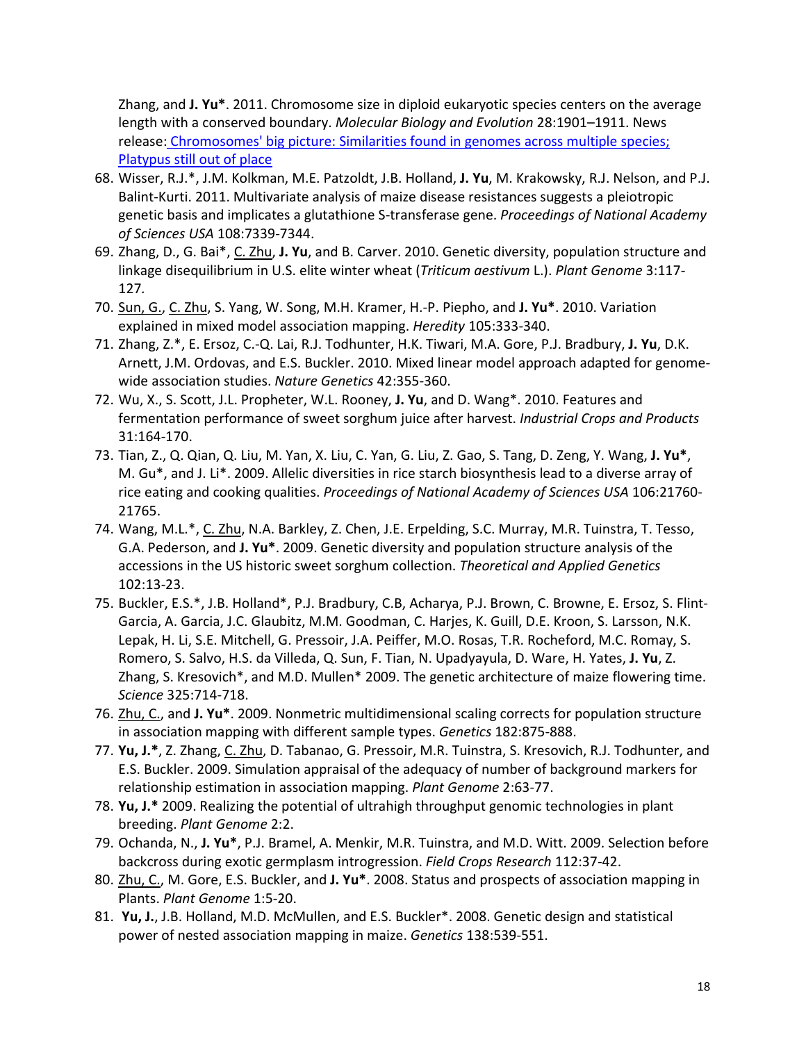Zhang, and **J. Yu\***. 2011. Chromosome size in diploid eukaryotic species centers on the average length with a conserved boundary. *Molecular Biology and Evolution* 28:1901–1911. News release: Chromosomes' big [picture: Similarities found in genomes across multiple species;](http://www.sciencedaily.com/releases/2011/07/110706113450.htm)  [Platypus still out of place](http://www.sciencedaily.com/releases/2011/07/110706113450.htm)

- 68. Wisser, R.J.\*, J.M. Kolkman, M.E. Patzoldt, J.B. Holland, **J. Yu**, M. Krakowsky, R.J. Nelson, and P.J. Balint-Kurti. 2011. Multivariate analysis of maize disease resistances suggests a pleiotropic genetic basis and implicates a glutathione S-transferase gene. *Proceedings of National Academy of Sciences USA* 108:7339-7344.
- 69. Zhang, D., G. Bai\*, C. Zhu, **J. Yu**, and B. Carver. 2010. Genetic diversity, population structure and linkage disequilibrium in U.S. elite winter wheat (*Triticum aestivum* L.). *Plant Genome* 3:117- 127*.*
- 70. Sun, G., C. Zhu, S. Yang, W. Song, M.H. Kramer, H.-P. Piepho, and **J. Yu\***. 2010. Variation explained in mixed model association mapping. *Heredity* 105:333-340.
- 71. Zhang, Z.\*, E. Ersoz, C.-Q. Lai, R.J. Todhunter, H.K. Tiwari, M.A. Gore, P.J. Bradbury, **J. Yu**, D.K. Arnett, J.M. Ordovas, and E.S. Buckler. 2010. Mixed linear model approach adapted for genomewide association studies. *Nature Genetics* 42:355-360.
- 72. Wu, X., S. Scott, J.L. Propheter, W.L. Rooney, **J. Yu**, and D. Wang\*. 2010. Features and fermentation performance of sweet sorghum juice after harvest. *Industrial Crops and Products* 31:164-170.
- 73. Tian, Z., Q. Qian, Q. Liu, M. Yan, X. Liu, C. Yan, G. Liu, Z. Gao, S. Tang, D. Zeng, Y. Wang, **J. Yu\***, M. Gu\*, and J. Li\*. 2009. Allelic diversities in rice starch biosynthesis lead to a diverse array of rice eating and cooking qualities. *Proceedings of National Academy of Sciences USA* 106:21760- 21765.
- 74. Wang, M.L.\*, C. Zhu, N.A. Barkley, Z. Chen, J.E. Erpelding, S.C. Murray, M.R. Tuinstra, T. Tesso, G.A. Pederson, and **J. Yu\***. 2009. Genetic diversity and population structure analysis of the accessions in the US historic sweet sorghum collection. *Theoretical and Applied Genetics* 102:13-23.
- 75. Buckler, E.S.\*, J.B. Holland\*, P.J. Bradbury, C.B, Acharya, P.J. Brown, C. Browne, E. Ersoz, S. Flint-Garcia, A. Garcia, J.C. Glaubitz, M.M. Goodman, C. Harjes, K. Guill, D.E. Kroon, S. Larsson, N.K. Lepak, H. Li, S.E. Mitchell, G. Pressoir, J.A. Peiffer, M.O. Rosas, T.R. Rocheford, M.C. Romay, S. Romero, S. Salvo, H.S. da Villeda, Q. Sun, F. Tian, N. Upadyayula, D. Ware, H. Yates, **J. Yu**, Z. Zhang, S. Kresovich\*, and M.D. Mullen\* 2009. The genetic architecture of maize flowering time. *Science* 325:714-718.
- 76. Zhu, C., and **J. Yu\***. 2009. Nonmetric multidimensional scaling corrects for population structure in association mapping with different sample types. *Genetics* 182:875-888.
- 77. **Yu, J.\***, Z. Zhang, C. Zhu, D. Tabanao, G. Pressoir, M.R. Tuinstra, S. Kresovich, R.J. Todhunter, and E.S. Buckler. 2009. Simulation appraisal of the adequacy of number of background markers for relationship estimation in association mapping. *Plant Genome* 2:63-77.
- 78. **Yu, J.\*** 2009. Realizing the potential of ultrahigh throughput genomic technologies in plant breeding. *Plant Genome* 2:2.
- 79. Ochanda, N., **J. Yu\***, P.J. Bramel, A. Menkir, M.R. Tuinstra, and M.D. Witt. 2009. Selection before backcross during exotic germplasm introgression. *Field Crops Research* 112:37-42.
- 80. Zhu, C., M. Gore, E.S. Buckler, and **J. Yu\***. 2008. Status and prospects of association mapping in Plants. *Plant Genome* 1:5-20.
- 81. **Yu, J.**, J.B. Holland, M.D. McMullen, and E.S. Buckler\*. 2008. Genetic design and statistical power of nested association mapping in maize. *Genetics* 138:539-551.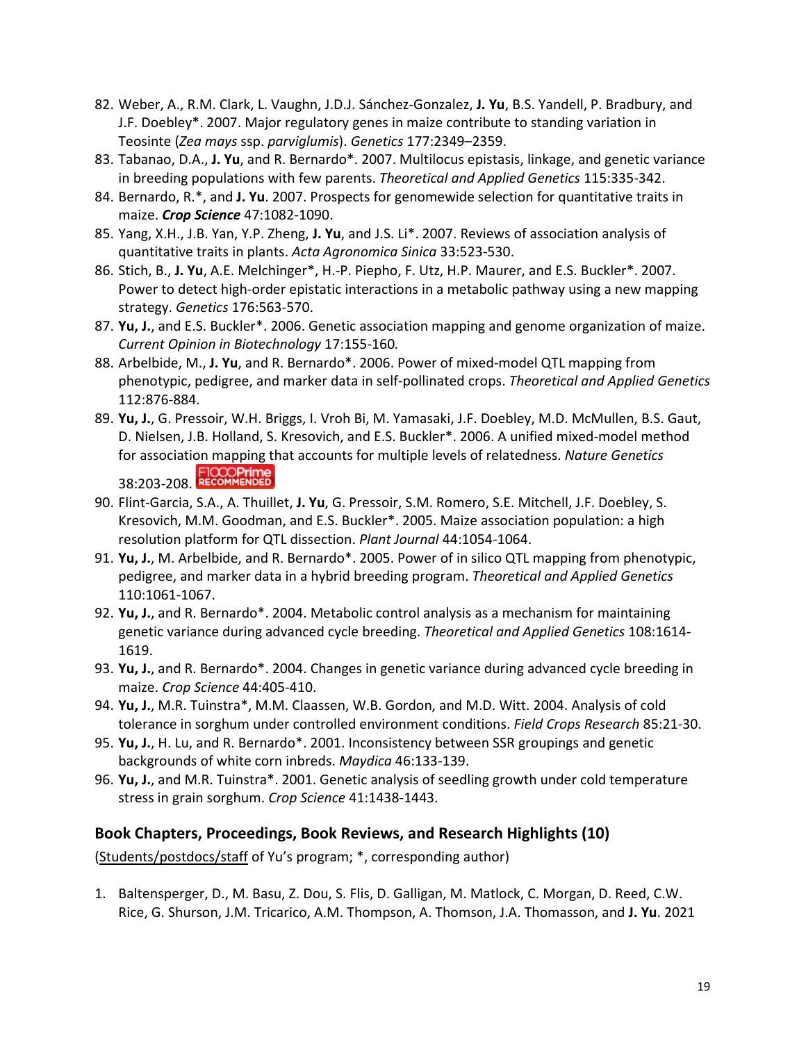- 82. Weber, A., R.M. Clark, L. Vaughn, J.D.J. Sánchez-Gonzalez, **J. Yu**, B.S. Yandell, P. Bradbury, and J.F. Doebley\*. 2007. Major regulatory genes in maize contribute to standing variation in Teosinte (*Zea mays* ssp. *parviglumis*). *Genetics* 177:2349–2359.
- 83. Tabanao, D.A., **J. Yu**, and R. Bernardo\*. 2007. Multilocus epistasis, linkage, and genetic variance in breeding populations with few parents. *Theoretical and Applied Genetics* 115:335-342.
- 84. Bernardo, R.\*, and **J. Yu**. 2007. Prospects for genomewide selection for quantitative traits in maize. *Crop Science* 47:1082-1090.
- 85. Yang, X.H., J.B. Yan, Y.P. Zheng, **J. Yu**, and J.S. Li\*. 2007. Reviews of association analysis of quantitative traits in plants. *Acta Agronomica Sinica* 33:523-530.
- 86. Stich, B., **J. Yu**, A.E. Melchinger\*, H.-P. Piepho, F. Utz, H.P. Maurer, and E.S. Buckler\*. 2007. Power to detect high-order epistatic interactions in a metabolic pathway using a new mapping strategy. *Genetics* 176:563-570.
- 87. **Yu, J.**, and E.S. Buckler\*. 2006. Genetic association mapping and genome organization of maize. *Current Opinion in Biotechnology* 17:155-160*.*
- 88. Arbelbide, M., **J. Yu**, and R. Bernardo\*. 2006. Power of mixed-model QTL mapping from phenotypic, pedigree, and marker data in self-pollinated crops. *Theoretical and Applied Genetics*  112:876-884.
- 89. **Yu, J.**, G. Pressoir, W.H. Briggs, I. Vroh Bi, M. Yamasaki, J.F. Doebley, M.D. McMullen, B.S. Gaut, D. Nielsen, J.B. Holland, S. Kresovich, and E.S. Buckler\*. 2006. A unified mixed-model method for association mapping that accounts for multiple levels of relatedness. *Nature Genetics*  **FICCOPrime**<br>38:203-208. RECOMMENDED
- 90. Flint-Garcia, S.A., A. Thuillet, **J. Yu**, G. Pressoir, S.M. Romero, S.E. Mitchell, J.F. Doebley, S. Kresovich, M.M. Goodman, and E.S. Buckler\*. 2005. Maize association population: a high resolution platform for QTL dissection. *Plant Journal* 44:1054-1064.
- 91. **Yu, J.**, M. Arbelbide, and R. Bernardo\*. 2005. Power of in silico QTL mapping from phenotypic, pedigree, and marker data in a hybrid breeding program. *Theoretical and Applied Genetics* 110:1061-1067.
- 92. **Yu, J.**, and R. Bernardo\*. 2004. Metabolic control analysis as a mechanism for maintaining genetic variance during advanced cycle breeding. *Theoretical and Applied Genetics* 108:1614- 1619.
- 93. **Yu, J.**, and R. Bernardo\*. 2004. Changes in genetic variance during advanced cycle breeding in maize. *Crop Science* 44:405-410.
- 94. **Yu, J.**, M.R. Tuinstra\*, M.M. Claassen, W.B. Gordon, and M.D. Witt. 2004. Analysis of cold tolerance in sorghum under controlled environment conditions. *Field Crops Research* 85:21-30.
- 95. **Yu, J.**, H. Lu, and R. Bernardo\*. 2001. Inconsistency between SSR groupings and genetic backgrounds of white corn inbreds. *Maydica* 46:133-139.
- 96. **Yu, J.**, and M.R. Tuinstra\*. 2001. Genetic analysis of seedling growth under cold temperature stress in grain sorghum. *Crop Science* 41:1438-1443.

#### **Book Chapters, Proceedings, Book Reviews, and Research Highlights (10)**

(Students/postdocs/staff of Yu's program; \*, corresponding author)

1. Baltensperger, D., M. Basu, Z. Dou, S. Flis, D. Galligan, M. Matlock, C. Morgan, D. Reed, C.W. Rice, G. Shurson, J.M. Tricarico, A.M. Thompson, A. Thomson, J.A. Thomasson, and **J. Yu**. 2021